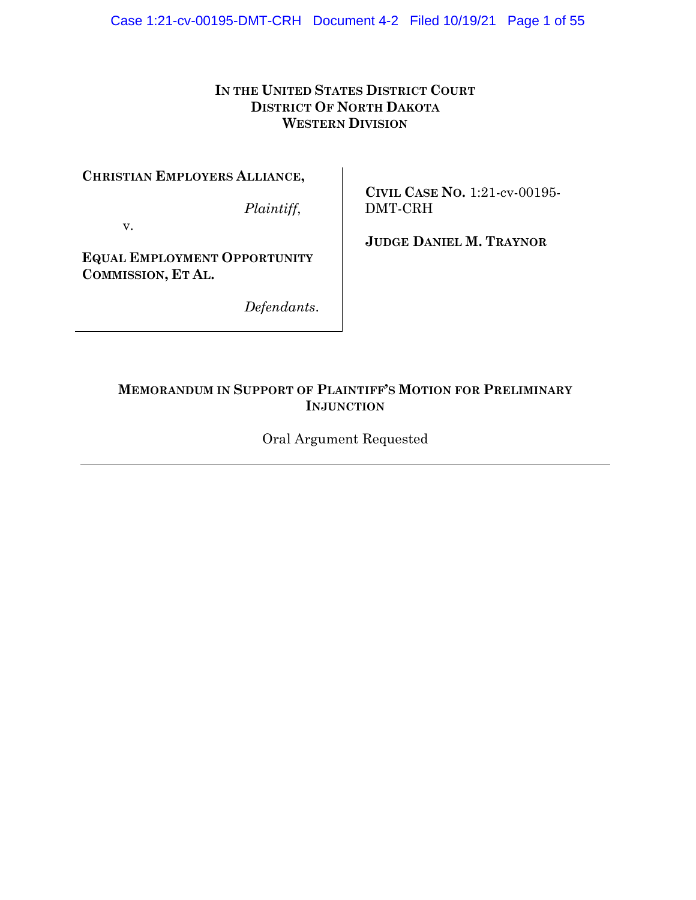## **IN THE UNITED STATES DISTRICT COURT DISTRICT OF NORTH DAKOTA WESTERN DIVISION**

**CHRISTIAN EMPLOYERS ALLIANCE,**

*Plaintiff*,

v.

**JUDGE DANIEL M. TRAYNOR**

DMT-CRH

**CIVIL CASE NO.** 1:21-cv-00195-

**EQUAL EMPLOYMENT OPPORTUNITY COMMISSION, ET AL.**

*Defendants*.

## **MEMORANDUM IN SUPPORT OF PLAINTIFF'S MOTION FOR PRELIMINARY INJUNCTION**

Oral Argument Requested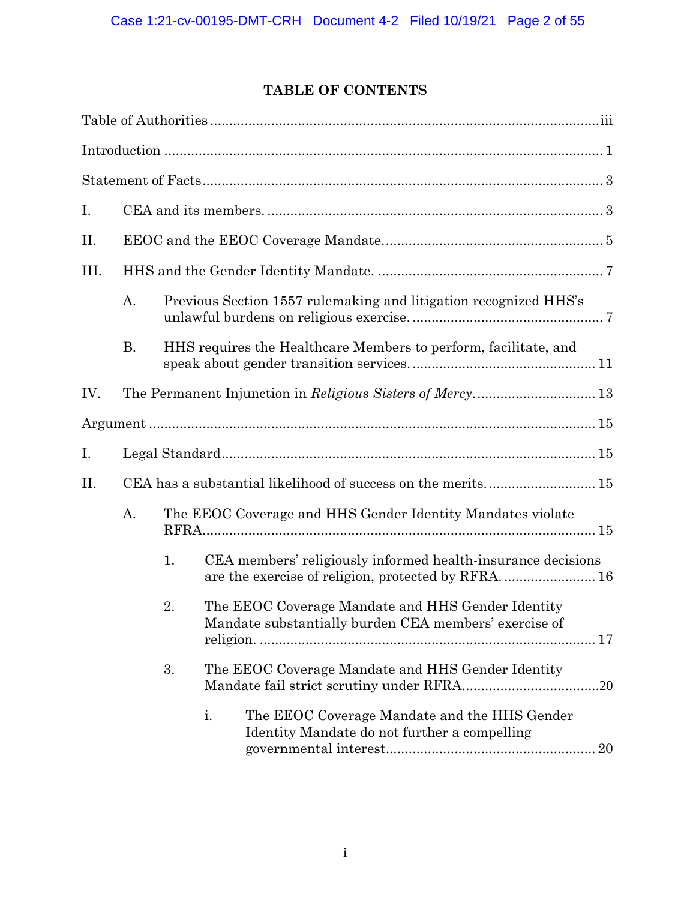# **TABLE OF CONTENTS**

| I.   |           |    |                                                                                                            |  |  |  |  |  |
|------|-----------|----|------------------------------------------------------------------------------------------------------------|--|--|--|--|--|
| Π.   |           |    |                                                                                                            |  |  |  |  |  |
| III. |           |    |                                                                                                            |  |  |  |  |  |
|      | A.        |    | Previous Section 1557 rulemaking and litigation recognized HHS's                                           |  |  |  |  |  |
|      | <b>B.</b> |    | HHS requires the Healthcare Members to perform, facilitate, and                                            |  |  |  |  |  |
| IV.  |           |    | The Permanent Injunction in Religious Sisters of Mercy 13                                                  |  |  |  |  |  |
|      |           |    |                                                                                                            |  |  |  |  |  |
| I.   |           |    |                                                                                                            |  |  |  |  |  |
| II.  |           |    |                                                                                                            |  |  |  |  |  |
|      | A.        |    | The EEOC Coverage and HHS Gender Identity Mandates violate                                                 |  |  |  |  |  |
|      |           | 1. | CEA members' religiously informed health-insurance decisions                                               |  |  |  |  |  |
|      |           | 2. | The EEOC Coverage Mandate and HHS Gender Identity<br>Mandate substantially burden CEA members' exercise of |  |  |  |  |  |
|      |           | 3. | The EEOC Coverage Mandate and HHS Gender Identity                                                          |  |  |  |  |  |
|      |           |    | i.<br>The EEOC Coverage Mandate and the HHS Gender<br>Identity Mandate do not further a compelling         |  |  |  |  |  |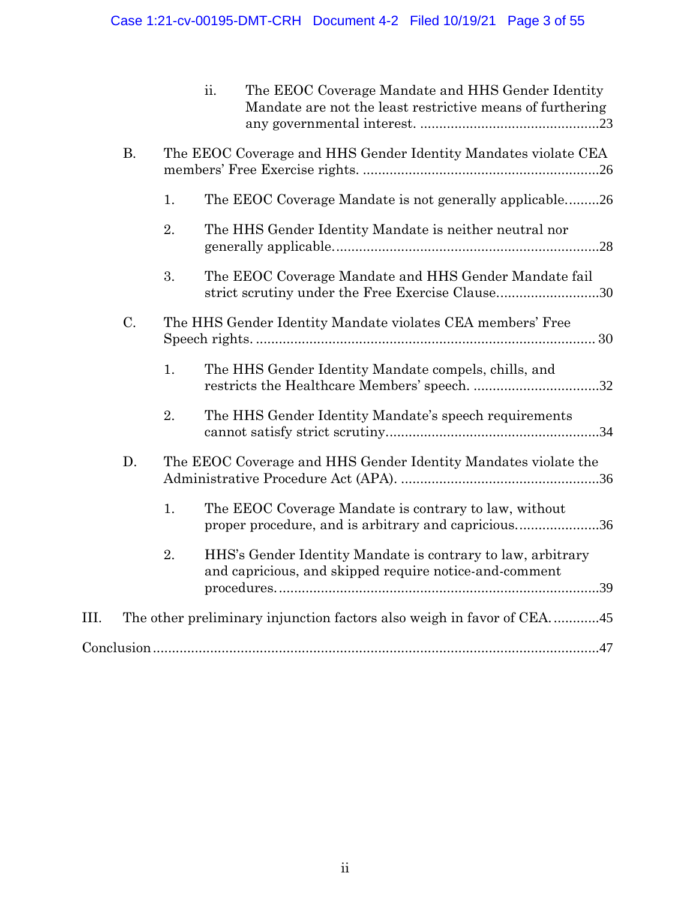|      |           |    | ii. | The EEOC Coverage Mandate and HHS Gender Identity<br>Mandate are not the least restrictive means of furthering        |
|------|-----------|----|-----|-----------------------------------------------------------------------------------------------------------------------|
|      | <b>B.</b> |    |     | The EEOC Coverage and HHS Gender Identity Mandates violate CEA                                                        |
|      |           | 1. |     | The EEOC Coverage Mandate is not generally applicable26                                                               |
|      |           | 2. |     | The HHS Gender Identity Mandate is neither neutral nor                                                                |
|      |           | 3. |     | The EEOC Coverage Mandate and HHS Gender Mandate fail<br>strict scrutiny under the Free Exercise Clause30             |
|      | C.        |    |     | The HHS Gender Identity Mandate violates CEA members' Free                                                            |
|      |           | 1. |     | The HHS Gender Identity Mandate compels, chills, and                                                                  |
|      |           | 2. |     | The HHS Gender Identity Mandate's speech requirements                                                                 |
|      | D.        |    |     | The EEOC Coverage and HHS Gender Identity Mandates violate the                                                        |
|      |           | 1. |     | The EEOC Coverage Mandate is contrary to law, without<br>proper procedure, and is arbitrary and capricious36          |
|      |           | 2. |     | HHS's Gender Identity Mandate is contrary to law, arbitrary<br>and capricious, and skipped require notice-and-comment |
| III. |           |    |     |                                                                                                                       |
|      |           |    |     |                                                                                                                       |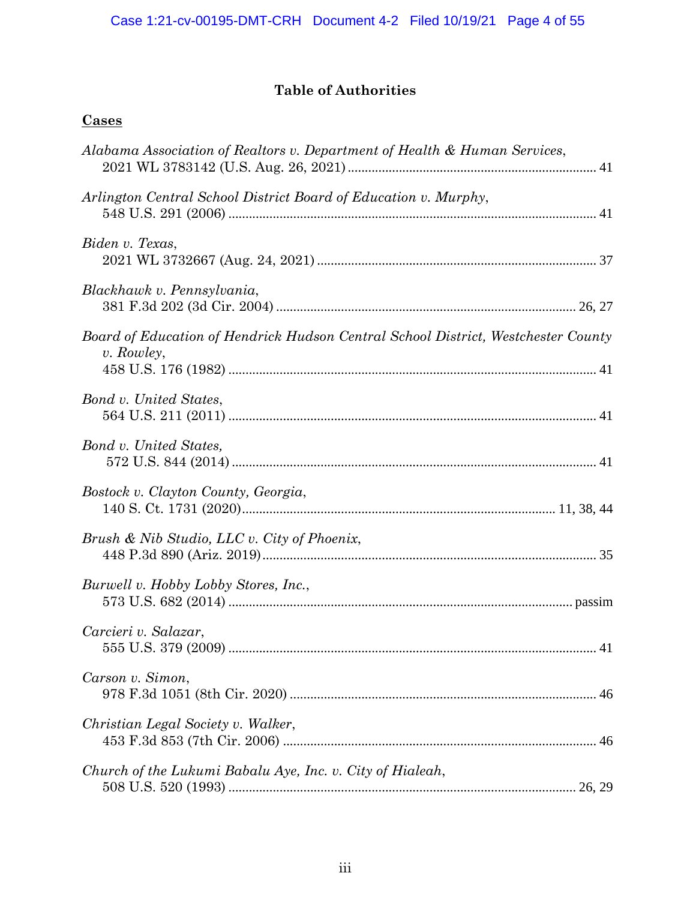# **Table of Authorities**

# **Cases**

| Alabama Association of Realtors v. Department of Health & Human Services,                         |
|---------------------------------------------------------------------------------------------------|
| Arlington Central School District Board of Education v. Murphy,                                   |
| Biden v. Texas,                                                                                   |
| Blackhawk v. Pennsylvania,                                                                        |
| Board of Education of Hendrick Hudson Central School District, Westchester County<br>$v.$ Rowley, |
| Bond v. United States,                                                                            |
| Bond v. United States,                                                                            |
| Bostock v. Clayton County, Georgia,                                                               |
| Brush & Nib Studio, LLC v. City of Phoenix,                                                       |
| Burwell v. Hobby Lobby Stores, Inc.,                                                              |
| Carcieri v. Salazar,<br>41                                                                        |
| Carson v. Simon,                                                                                  |
| Christian Legal Society v. Walker,                                                                |
| Church of the Lukumi Babalu Aye, Inc. v. City of Hialeah,                                         |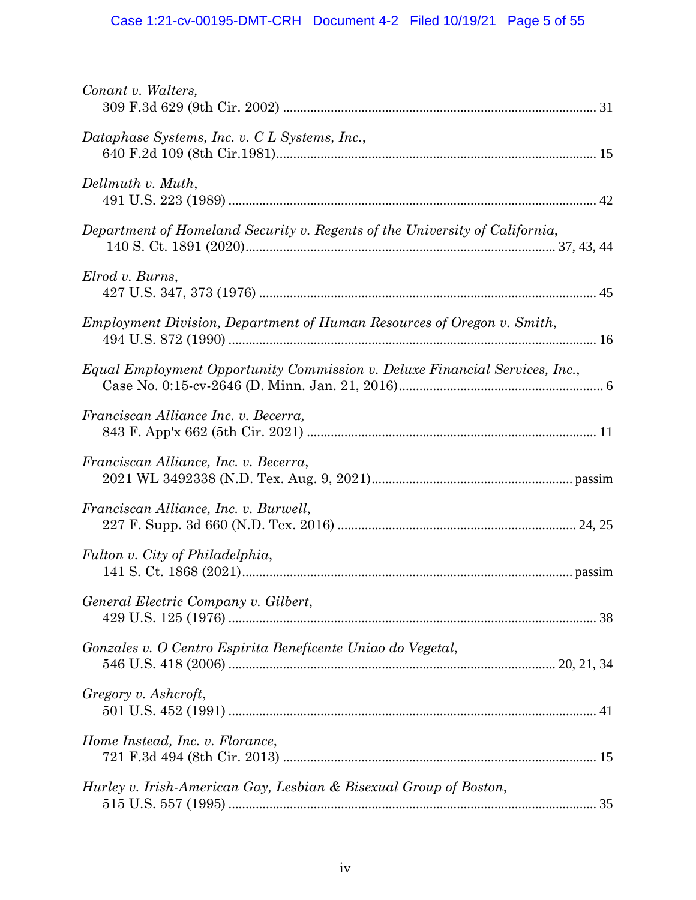| Conant v. Walters,                                                          |
|-----------------------------------------------------------------------------|
| Dataphase Systems, Inc. v. C L Systems, Inc.,                               |
| Dellmuth v. Muth,                                                           |
| Department of Homeland Security v. Regents of the University of California, |
| Elrod v. Burns,                                                             |
| Employment Division, Department of Human Resources of Oregon v. Smith,      |
| Equal Employment Opportunity Commission v. Deluxe Financial Services, Inc., |
| Franciscan Alliance Inc. v. Becerra,                                        |
| Franciscan Alliance, Inc. v. Becerra,                                       |
| Franciscan Alliance, Inc. v. Burwell,                                       |
| Fulton v. City of Philadelphia,                                             |
| General Electric Company v. Gilbert,                                        |
| Gonzales v. O Centro Espirita Beneficente Uniao do Vegetal,                 |
| Gregory v. Ashcroft,                                                        |
| Home Instead, Inc. v. Florance,                                             |
| Hurley v. Irish-American Gay, Lesbian & Bisexual Group of Boston,           |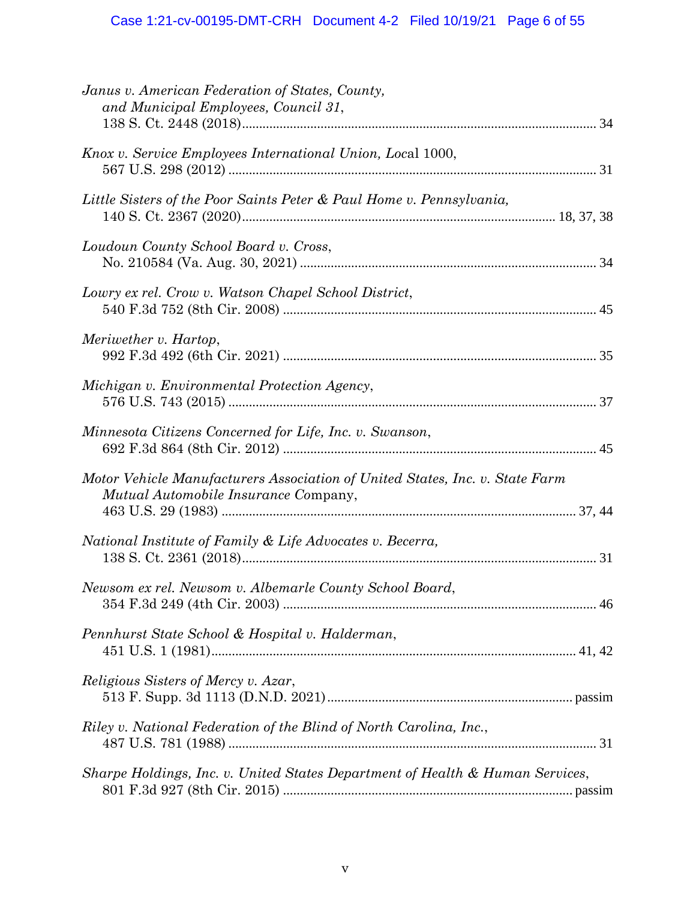| Janus v. American Federation of States, County,<br>and Municipal Employees, Council 31,                              |
|----------------------------------------------------------------------------------------------------------------------|
| Knox v. Service Employees International Union, Local 1000,                                                           |
| Little Sisters of the Poor Saints Peter & Paul Home v. Pennsylvania,                                                 |
| Loudoun County School Board v. Cross,                                                                                |
| Lowry ex rel. Crow v. Watson Chapel School District,                                                                 |
| Meriwether v. Hartop,                                                                                                |
| Michigan v. Environmental Protection Agency,                                                                         |
| Minnesota Citizens Concerned for Life, Inc. v. Swanson,                                                              |
| Motor Vehicle Manufacturers Association of United States, Inc. v. State Farm<br>Mutual Automobile Insurance Company, |
| National Institute of Family & Life Advocates v. Becerra,                                                            |
| Newsom ex rel. Newsom v. Albemarle County School Board,                                                              |
| Pennhurst State School & Hospital v. Halderman,                                                                      |
| <i>Religious Sisters of Mercy v. Azar,</i>                                                                           |
| Riley v. National Federation of the Blind of North Carolina, Inc.,                                                   |
| Sharpe Holdings, Inc. v. United States Department of Health & Human Services,                                        |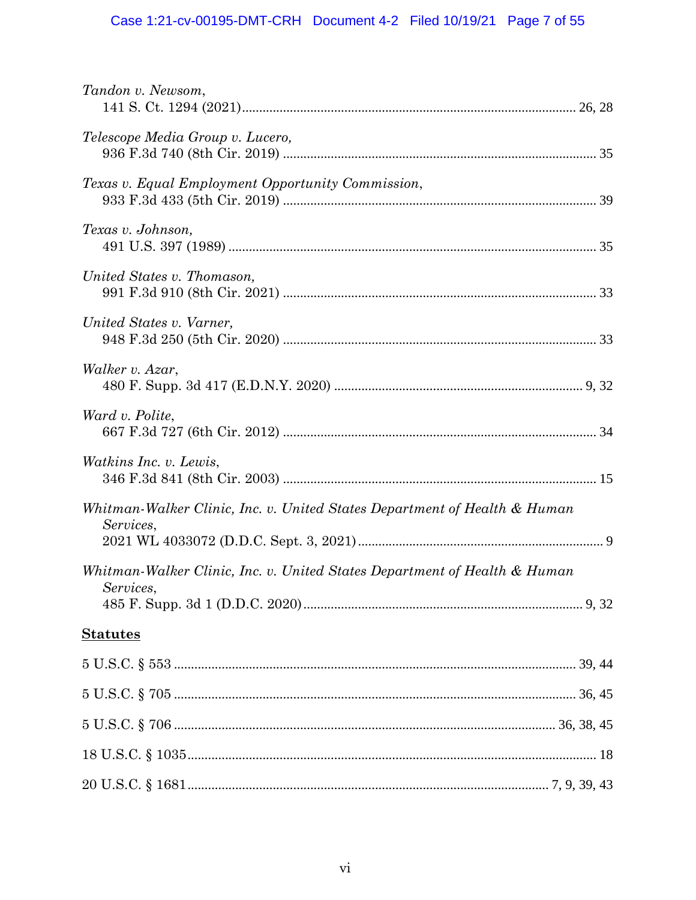# Case 1:21-cv-00195-DMT-CRH Document 4-2 Filed 10/19/21 Page 7 of 55

| Tandon v. Newsom,                                                                      |  |
|----------------------------------------------------------------------------------------|--|
| Telescope Media Group v. Lucero,                                                       |  |
| Texas v. Equal Employment Opportunity Commission,                                      |  |
| Texas v. Johnson,                                                                      |  |
| United States v. Thomason,                                                             |  |
| United States v. Varner,                                                               |  |
| Walker v. Azar,                                                                        |  |
| Ward v. Polite,                                                                        |  |
| <i>Watkins Inc. v. Lewis,</i>                                                          |  |
| Whitman-Walker Clinic, Inc. v. United States Department of Health & Human<br>Services, |  |
| Whitman-Walker Clinic, Inc. v. United States Department of Health & Human<br>Services, |  |
|                                                                                        |  |
| <b>Statutes</b>                                                                        |  |
|                                                                                        |  |
|                                                                                        |  |
|                                                                                        |  |
|                                                                                        |  |
|                                                                                        |  |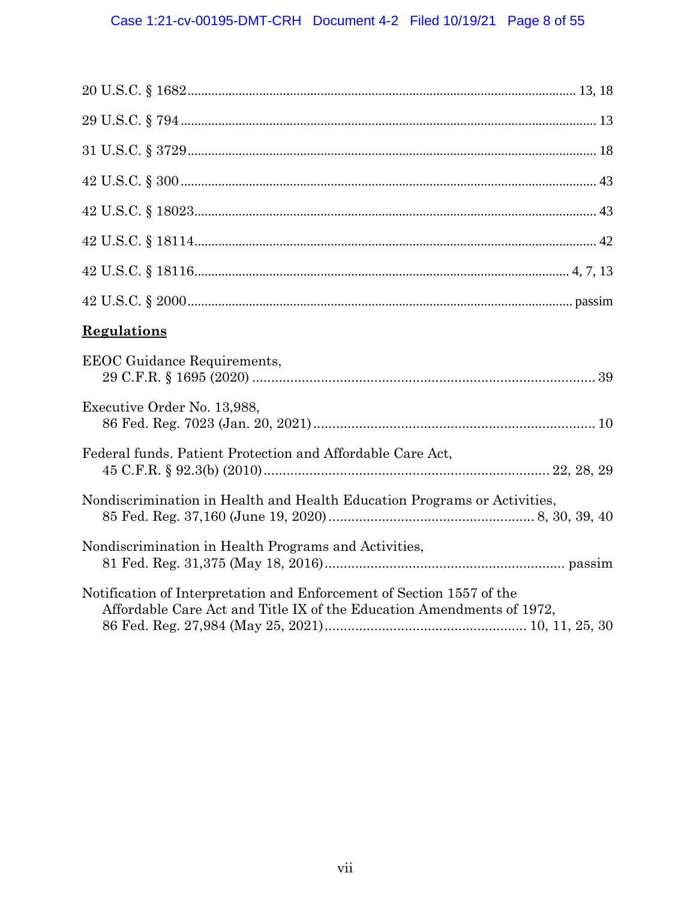| <b>Regulations</b>                                                                                                                             |
|------------------------------------------------------------------------------------------------------------------------------------------------|
| <b>EEOC</b> Guidance Requirements,                                                                                                             |
| Executive Order No. 13,988,                                                                                                                    |
| Federal funds. Patient Protection and Affordable Care Act,                                                                                     |
| Nondiscrimination in Health and Health Education Programs or Activities,                                                                       |
| Nondiscrimination in Health Programs and Activities,                                                                                           |
| Notification of Interpretation and Enforcement of Section 1557 of the<br>Affordable Care Act and Title IX of the Education Amendments of 1972, |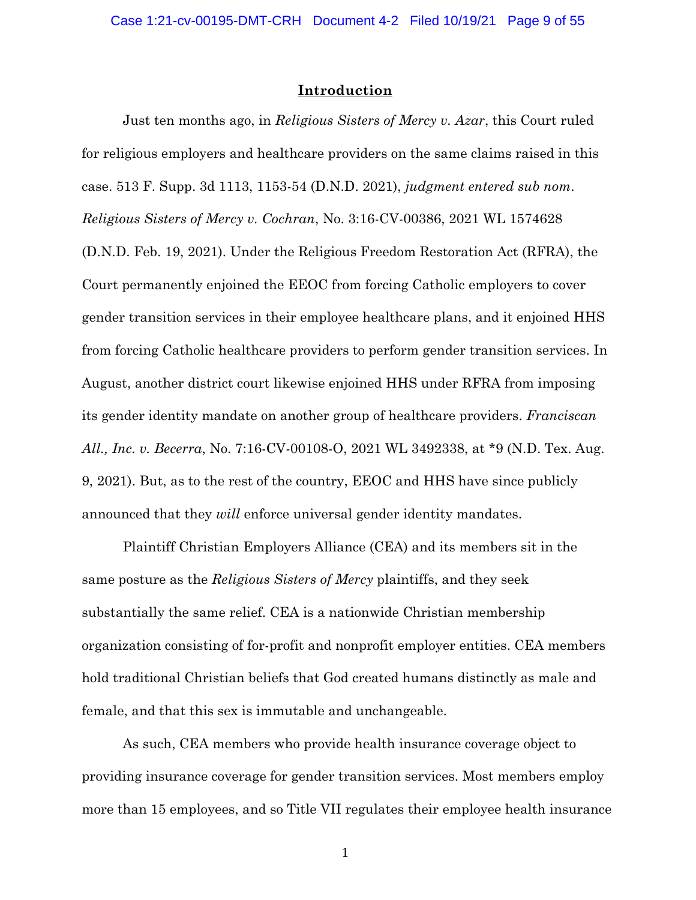### **Introduction**

Just ten months ago, in *Religious Sisters of Mercy v. Azar*, this Court ruled for religious employers and healthcare providers on the same claims raised in this case. 513 F. Supp. 3d 1113, 1153-54 (D.N.D. 2021), *judgment entered sub nom*. *Religious Sisters of Mercy v. Cochran*, No. 3:16-CV-00386, 2021 WL 1574628 (D.N.D. Feb. 19, 2021). Under the Religious Freedom Restoration Act (RFRA), the Court permanently enjoined the EEOC from forcing Catholic employers to cover gender transition services in their employee healthcare plans, and it enjoined HHS from forcing Catholic healthcare providers to perform gender transition services. In August, another district court likewise enjoined HHS under RFRA from imposing its gender identity mandate on another group of healthcare providers. *Franciscan All., Inc. v. Becerra*, No. 7:16-CV-00108-O, 2021 WL 3492338, at \*9 (N.D. Tex. Aug. 9, 2021). But, as to the rest of the country, EEOC and HHS have since publicly announced that they *will* enforce universal gender identity mandates.

Plaintiff Christian Employers Alliance (CEA) and its members sit in the same posture as the *Religious Sisters of Mercy* plaintiffs, and they seek substantially the same relief. CEA is a nationwide Christian membership organization consisting of for-profit and nonprofit employer entities. CEA members hold traditional Christian beliefs that God created humans distinctly as male and female, and that this sex is immutable and unchangeable.

As such, CEA members who provide health insurance coverage object to providing insurance coverage for gender transition services. Most members employ more than 15 employees, and so Title VII regulates their employee health insurance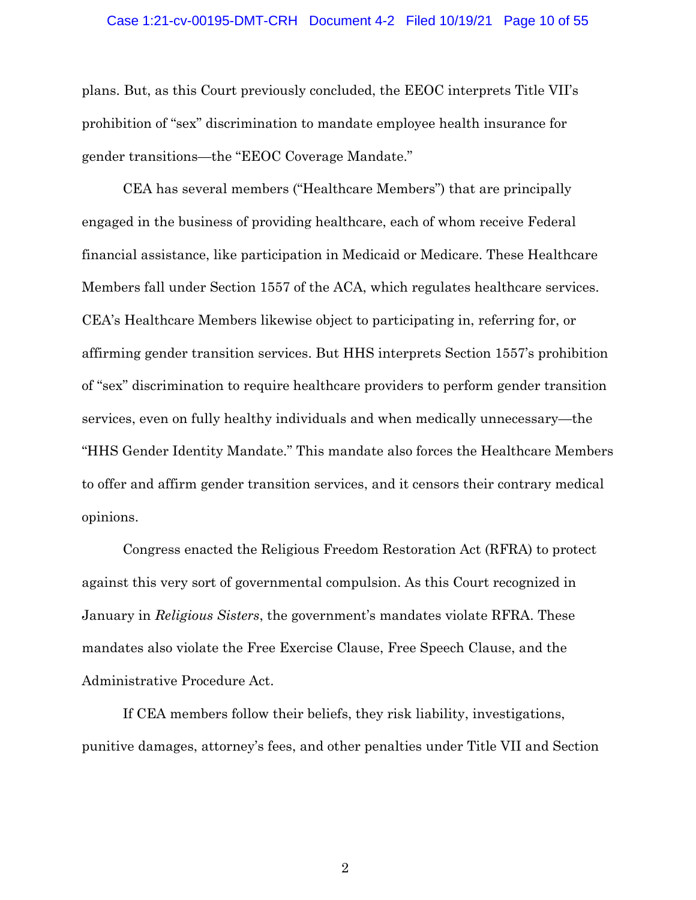### Case 1:21-cv-00195-DMT-CRH Document 4-2 Filed 10/19/21 Page 10 of 55

plans. But, as this Court previously concluded, the EEOC interprets Title VII's prohibition of "sex" discrimination to mandate employee health insurance for gender transitions—the "EEOC Coverage Mandate."

CEA has several members ("Healthcare Members") that are principally engaged in the business of providing healthcare, each of whom receive Federal financial assistance, like participation in Medicaid or Medicare. These Healthcare Members fall under Section 1557 of the ACA, which regulates healthcare services. CEA's Healthcare Members likewise object to participating in, referring for, or affirming gender transition services. But HHS interprets Section 1557's prohibition of "sex" discrimination to require healthcare providers to perform gender transition services, even on fully healthy individuals and when medically unnecessary—the "HHS Gender Identity Mandate." This mandate also forces the Healthcare Members to offer and affirm gender transition services, and it censors their contrary medical opinions.

Congress enacted the Religious Freedom Restoration Act (RFRA) to protect against this very sort of governmental compulsion. As this Court recognized in January in *Religious Sisters*, the government's mandates violate RFRA. These mandates also violate the Free Exercise Clause, Free Speech Clause, and the Administrative Procedure Act.

If CEA members follow their beliefs, they risk liability, investigations, punitive damages, attorney's fees, and other penalties under Title VII and Section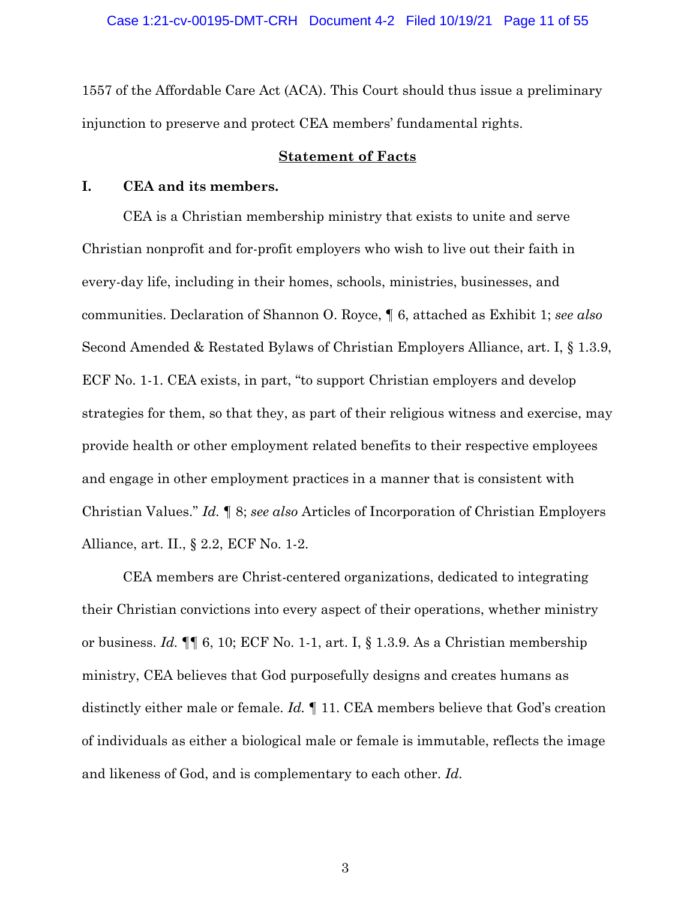1557 of the Affordable Care Act (ACA). This Court should thus issue a preliminary injunction to preserve and protect CEA members' fundamental rights.

### **Statement of Facts**

## **I. CEA and its members.**

CEA is a Christian membership ministry that exists to unite and serve Christian nonprofit and for-profit employers who wish to live out their faith in every-day life, including in their homes, schools, ministries, businesses, and communities. Declaration of Shannon O. Royce, ¶ 6, attached as Exhibit 1; *see also*  Second Amended & Restated Bylaws of Christian Employers Alliance, art. I, § 1.3.9, ECF No. 1-1. CEA exists, in part, "to support Christian employers and develop strategies for them, so that they, as part of their religious witness and exercise, may provide health or other employment related benefits to their respective employees and engage in other employment practices in a manner that is consistent with Christian Values." *Id.* ¶ 8; *see also* Articles of Incorporation of Christian Employers Alliance, art. II., § 2.2, ECF No. 1-2.

CEA members are Christ-centered organizations, dedicated to integrating their Christian convictions into every aspect of their operations, whether ministry or business. *Id.* ¶¶ 6, 10; ECF No. 1-1, art. I, § 1.3.9. As a Christian membership ministry, CEA believes that God purposefully designs and creates humans as distinctly either male or female. *Id.* ¶ 11. CEA members believe that God's creation of individuals as either a biological male or female is immutable, reflects the image and likeness of God, and is complementary to each other. *Id.*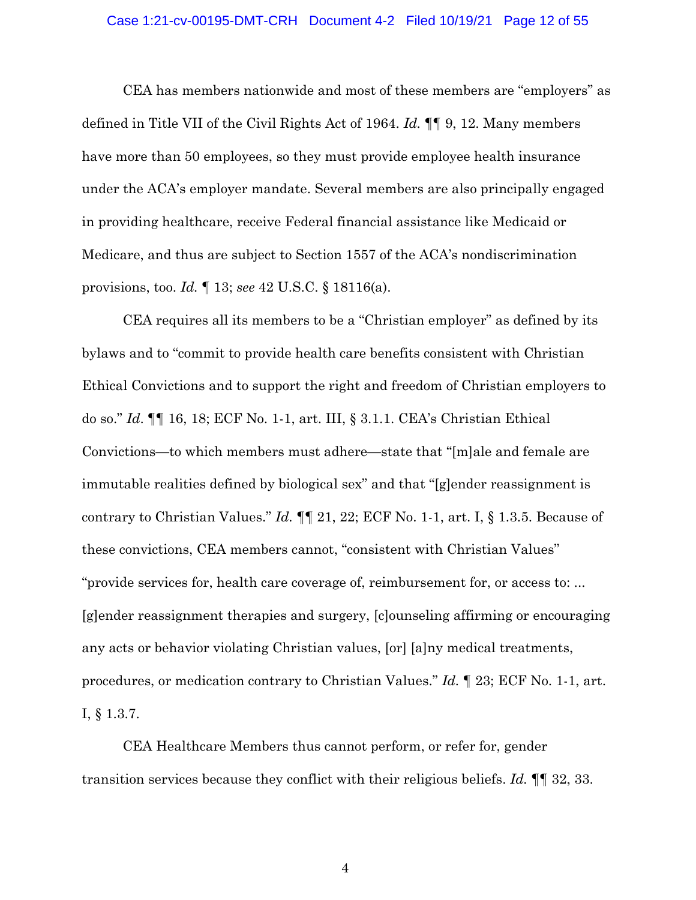### Case 1:21-cv-00195-DMT-CRH Document 4-2 Filed 10/19/21 Page 12 of 55

CEA has members nationwide and most of these members are "employers" as defined in Title VII of the Civil Rights Act of 1964. *Id.* ¶¶ 9, 12. Many members have more than 50 employees, so they must provide employee health insurance under the ACA's employer mandate. Several members are also principally engaged in providing healthcare, receive Federal financial assistance like Medicaid or Medicare, and thus are subject to Section 1557 of the ACA's nondiscrimination provisions, too. *Id.* ¶ 13; *see* 42 U.S.C. § 18116(a).

CEA requires all its members to be a "Christian employer" as defined by its bylaws and to "commit to provide health care benefits consistent with Christian Ethical Convictions and to support the right and freedom of Christian employers to do so." *Id*. ¶¶ 16, 18; ECF No. 1-1, art. III, § 3.1.1. CEA's Christian Ethical Convictions—to which members must adhere—state that "[m]ale and female are immutable realities defined by biological sex" and that "[g]ender reassignment is contrary to Christian Values." *Id.* ¶¶ 21, 22; ECF No. 1-1, art. I, § 1.3.5. Because of these convictions, CEA members cannot, "consistent with Christian Values" "provide services for, health care coverage of, reimbursement for, or access to: ... [g]ender reassignment therapies and surgery, [c]ounseling affirming or encouraging any acts or behavior violating Christian values, [or] [a]ny medical treatments, procedures, or medication contrary to Christian Values." *Id.* ¶ 23; ECF No. 1-1, art. I, § 1.3.7.

CEA Healthcare Members thus cannot perform, or refer for, gender transition services because they conflict with their religious beliefs. *Id.* ¶¶ 32, 33.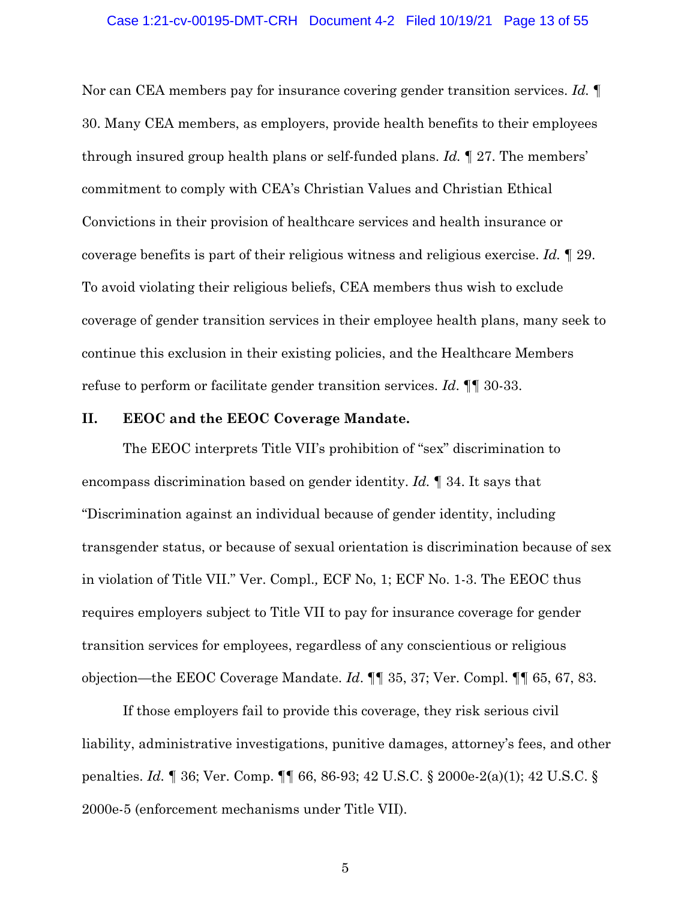#### Case 1:21-cv-00195-DMT-CRH Document 4-2 Filed 10/19/21 Page 13 of 55

Nor can CEA members pay for insurance covering gender transition services. *Id.* ¶ 30. Many CEA members, as employers, provide health benefits to their employees through insured group health plans or self-funded plans. *Id.* ¶ 27. The members' commitment to comply with CEA's Christian Values and Christian Ethical Convictions in their provision of healthcare services and health insurance or coverage benefits is part of their religious witness and religious exercise. *Id.* ¶ 29. To avoid violating their religious beliefs, CEA members thus wish to exclude coverage of gender transition services in their employee health plans, many seek to continue this exclusion in their existing policies, and the Healthcare Members refuse to perform or facilitate gender transition services. *Id*. ¶¶ 30-33.

### **II. EEOC and the EEOC Coverage Mandate.**

The EEOC interprets Title VII's prohibition of "sex" discrimination to encompass discrimination based on gender identity. *Id.* ¶ 34. It says that "Discrimination against an individual because of gender identity, including transgender status, or because of sexual orientation is discrimination because of sex in violation of Title VII." Ver. Compl.*,* ECF No, 1; ECF No. 1-3. The EEOC thus requires employers subject to Title VII to pay for insurance coverage for gender transition services for employees, regardless of any conscientious or religious objection—the EEOC Coverage Mandate. *Id*. ¶¶ 35, 37; Ver. Compl. ¶¶ 65, 67, 83.

If those employers fail to provide this coverage, they risk serious civil liability, administrative investigations, punitive damages, attorney's fees, and other penalties. *Id.* ¶ 36; Ver. Comp. ¶¶ 66, 86-93; 42 U.S.C. § 2000e-2(a)(1); 42 U.S.C. § 2000e-5 (enforcement mechanisms under Title VII).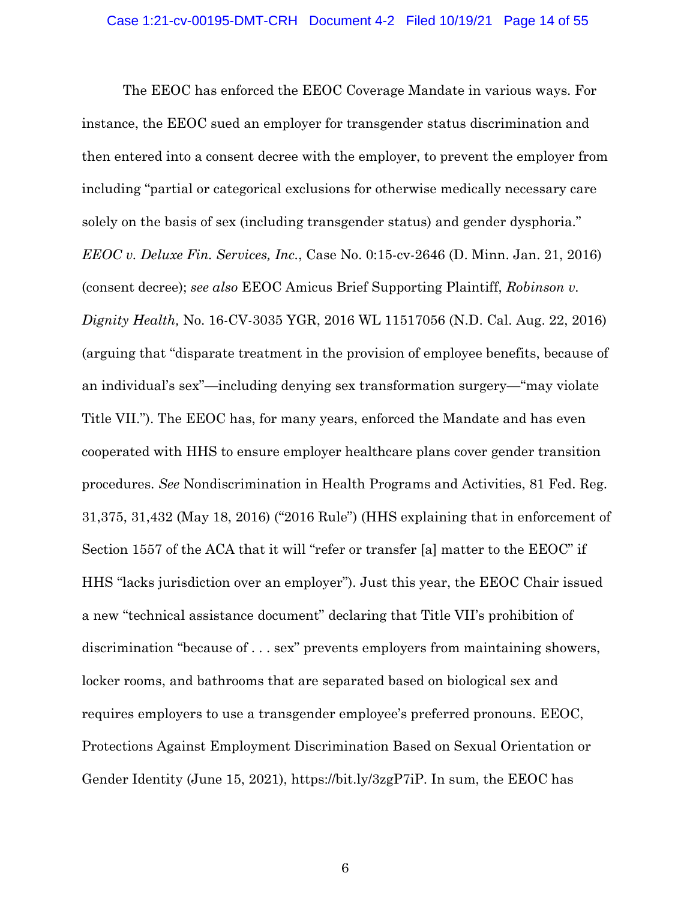The EEOC has enforced the EEOC Coverage Mandate in various ways. For instance, the EEOC sued an employer for transgender status discrimination and then entered into a consent decree with the employer, to prevent the employer from including "partial or categorical exclusions for otherwise medically necessary care solely on the basis of sex (including transgender status) and gender dysphoria." *EEOC v. Deluxe Fin. Services, Inc.*, Case No. 0:15-cv-2646 (D. Minn. Jan. 21, 2016) (consent decree); *see also* EEOC Amicus Brief Supporting Plaintiff, *Robinson v. Dignity Health,* No. 16-CV-3035 YGR, 2016 WL 11517056 (N.D. Cal. Aug. 22, 2016) (arguing that "disparate treatment in the provision of employee benefits, because of an individual's sex"—including denying sex transformation surgery—"may violate Title VII."). The EEOC has, for many years, enforced the Mandate and has even cooperated with HHS to ensure employer healthcare plans cover gender transition procedures. *See* Nondiscrimination in Health Programs and Activities, 81 Fed. Reg. 31,375, 31,432 (May 18, 2016) ("2016 Rule") (HHS explaining that in enforcement of Section 1557 of the ACA that it will "refer or transfer [a] matter to the EEOC" if HHS "lacks jurisdiction over an employer"). Just this year, the EEOC Chair issued a new "technical assistance document" declaring that Title VII's prohibition of discrimination "because of . . . sex" prevents employers from maintaining showers, locker rooms, and bathrooms that are separated based on biological sex and requires employers to use a transgender employee's preferred pronouns. EEOC, Protections Against Employment Discrimination Based on Sexual Orientation or Gender Identity (June 15, 2021), https://bit.ly/3zgP7iP. In sum, the EEOC has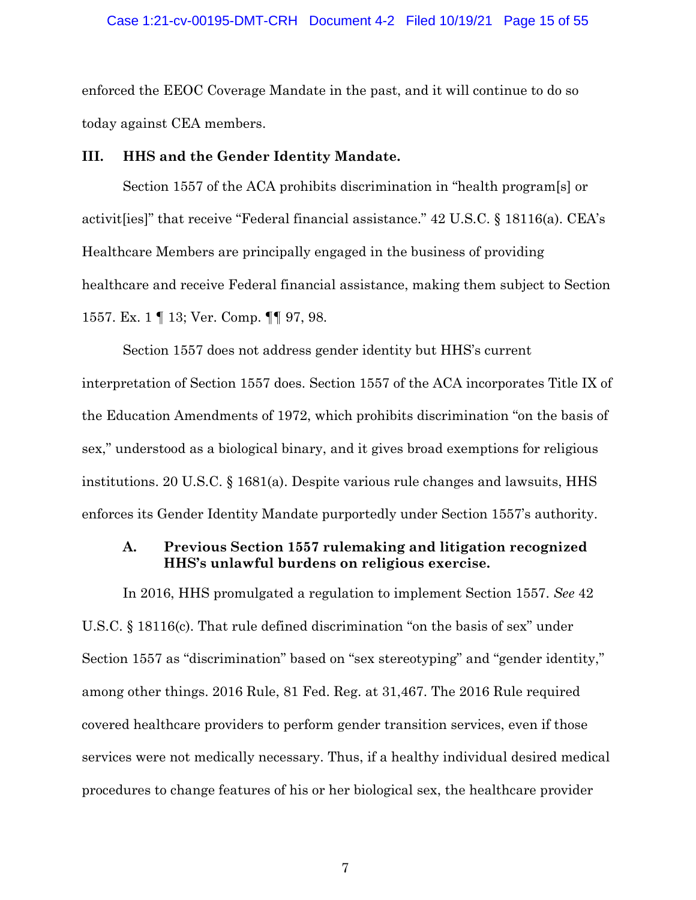### Case 1:21-cv-00195-DMT-CRH Document 4-2 Filed 10/19/21 Page 15 of 55

enforced the EEOC Coverage Mandate in the past, and it will continue to do so today against CEA members.

### **III. HHS and the Gender Identity Mandate.**

Section 1557 of the ACA prohibits discrimination in "health program[s] or activit[ies]" that receive "Federal financial assistance." 42 U.S.C. § 18116(a). CEA's Healthcare Members are principally engaged in the business of providing healthcare and receive Federal financial assistance, making them subject to Section 1557. Ex. 1 ¶ 13; Ver. Comp. ¶¶ 97, 98.

Section 1557 does not address gender identity but HHS's current interpretation of Section 1557 does. Section 1557 of the ACA incorporates Title IX of the Education Amendments of 1972, which prohibits discrimination "on the basis of sex," understood as a biological binary, and it gives broad exemptions for religious institutions. 20 U.S.C. § 1681(a). Despite various rule changes and lawsuits, HHS enforces its Gender Identity Mandate purportedly under Section 1557's authority.

## **A. Previous Section 1557 rulemaking and litigation recognized HHS's unlawful burdens on religious exercise.**

In 2016, HHS promulgated a regulation to implement Section 1557. *See* 42 U.S.C. § 18116(c). That rule defined discrimination "on the basis of sex" under Section 1557 as "discrimination" based on "sex stereotyping" and "gender identity," among other things. 2016 Rule, 81 Fed. Reg. at 31,467. The 2016 Rule required covered healthcare providers to perform gender transition services, even if those services were not medically necessary. Thus, if a healthy individual desired medical procedures to change features of his or her biological sex, the healthcare provider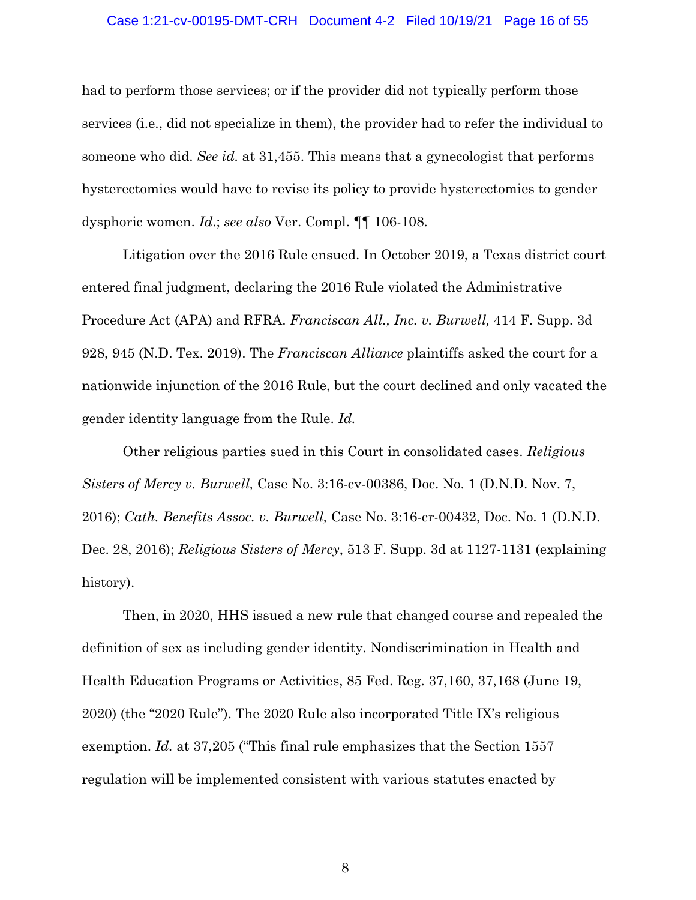#### Case 1:21-cv-00195-DMT-CRH Document 4-2 Filed 10/19/21 Page 16 of 55

had to perform those services; or if the provider did not typically perform those services (i.e., did not specialize in them), the provider had to refer the individual to someone who did. *See id.* at 31,455. This means that a gynecologist that performs hysterectomies would have to revise its policy to provide hysterectomies to gender dysphoric women. *Id*.; *see also* Ver. Compl. ¶¶ 106-108.

Litigation over the 2016 Rule ensued. In October 2019, a Texas district court entered final judgment, declaring the 2016 Rule violated the Administrative Procedure Act (APA) and RFRA. *Franciscan All., Inc. v. Burwell,* 414 F. Supp. 3d 928, 945 (N.D. Tex. 2019). The *Franciscan Alliance* plaintiffs asked the court for a nationwide injunction of the 2016 Rule, but the court declined and only vacated the gender identity language from the Rule. *Id.* 

Other religious parties sued in this Court in consolidated cases. *Religious Sisters of Mercy v. Burwell,* Case No. 3:16-cv-00386, Doc. No. 1 (D.N.D. Nov. 7, 2016); *Cath. Benefits Assoc. v. Burwell,* Case No. 3:16-cr-00432, Doc. No. 1 (D.N.D. Dec. 28, 2016); *Religious Sisters of Mercy*, 513 F. Supp. 3d at 1127-1131 (explaining history).

Then, in 2020, HHS issued a new rule that changed course and repealed the definition of sex as including gender identity. Nondiscrimination in Health and Health Education Programs or Activities, 85 Fed. Reg. 37,160, 37,168 (June 19, 2020) (the "2020 Rule"). The 2020 Rule also incorporated Title IX's religious exemption. *Id.* at 37,205 ("This final rule emphasizes that the Section 1557 regulation will be implemented consistent with various statutes enacted by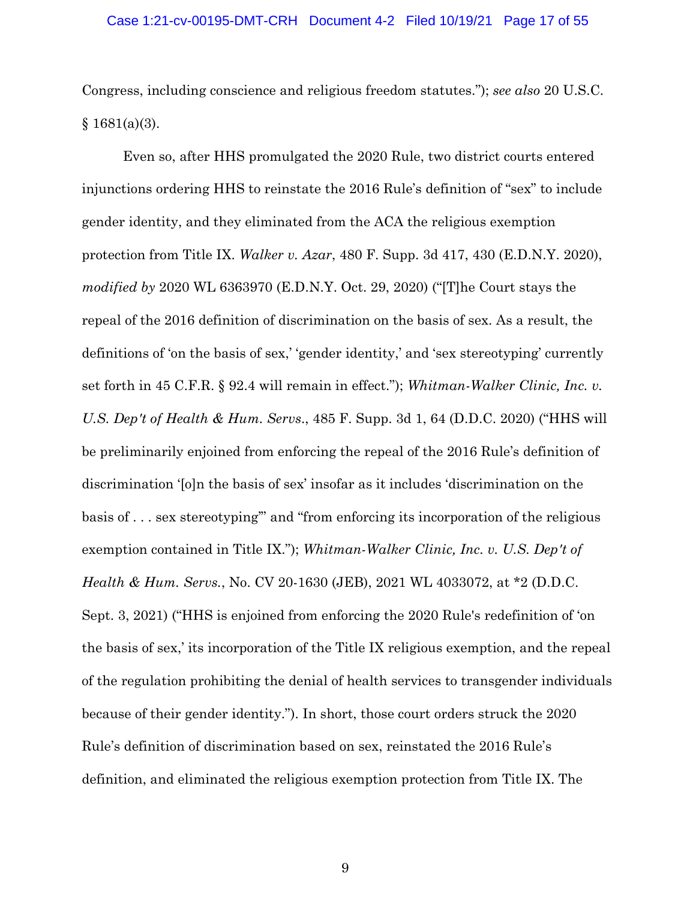### Case 1:21-cv-00195-DMT-CRH Document 4-2 Filed 10/19/21 Page 17 of 55

Congress, including conscience and religious freedom statutes."); *see also* 20 U.S.C.  $§ 1681(a)(3).$ 

Even so, after HHS promulgated the 2020 Rule, two district courts entered injunctions ordering HHS to reinstate the 2016 Rule's definition of "sex" to include gender identity, and they eliminated from the ACA the religious exemption protection from Title IX. *Walker v. Azar*, 480 F. Supp. 3d 417, 430 (E.D.N.Y. 2020), *modified by* 2020 WL 6363970 (E.D.N.Y. Oct. 29, 2020) ("[T]he Court stays the repeal of the 2016 definition of discrimination on the basis of sex. As a result, the definitions of 'on the basis of sex,' 'gender identity,' and 'sex stereotyping' currently set forth in 45 C.F.R. § 92.4 will remain in effect."); *Whitman-Walker Clinic, Inc. v. U.S. Dep't of Health & Hum. Servs*., 485 F. Supp. 3d 1, 64 (D.D.C. 2020) ("HHS will be preliminarily enjoined from enforcing the repeal of the 2016 Rule's definition of discrimination '[o]n the basis of sex' insofar as it includes 'discrimination on the basis of . . . sex stereotyping'" and "from enforcing its incorporation of the religious exemption contained in Title IX."); *Whitman-Walker Clinic, Inc. v. U.S. Dep't of Health & Hum. Servs.*, No. CV 20-1630 (JEB), 2021 WL 4033072, at \*2 (D.D.C. Sept. 3, 2021) ("HHS is enjoined from enforcing the 2020 Rule's redefinition of 'on the basis of sex,' its incorporation of the Title IX religious exemption, and the repeal of the regulation prohibiting the denial of health services to transgender individuals because of their gender identity."). In short, those court orders struck the 2020 Rule's definition of discrimination based on sex, reinstated the 2016 Rule's definition, and eliminated the religious exemption protection from Title IX. The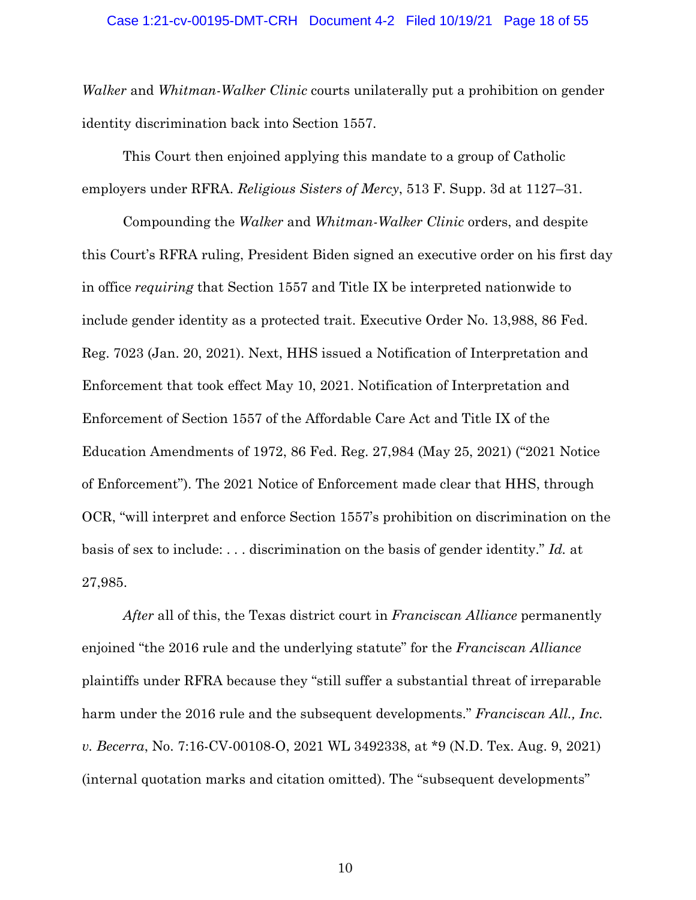*Walker* and *Whitman-Walker Clinic* courts unilaterally put a prohibition on gender identity discrimination back into Section 1557.

This Court then enjoined applying this mandate to a group of Catholic employers under RFRA. *Religious Sisters of Mercy*, 513 F. Supp. 3d at 1127–31.

Compounding the *Walker* and *Whitman-Walker Clinic* orders, and despite this Court's RFRA ruling, President Biden signed an executive order on his first day in office *requiring* that Section 1557 and Title IX be interpreted nationwide to include gender identity as a protected trait. Executive Order No. 13,988, 86 Fed. Reg. 7023 (Jan. 20, 2021). Next, HHS issued a Notification of Interpretation and Enforcement that took effect May 10, 2021. Notification of Interpretation and Enforcement of Section 1557 of the Affordable Care Act and Title IX of the Education Amendments of 1972, 86 Fed. Reg. 27,984 (May 25, 2021) ("2021 Notice of Enforcement"). The 2021 Notice of Enforcement made clear that HHS, through OCR, "will interpret and enforce Section 1557's prohibition on discrimination on the basis of sex to include: . . . discrimination on the basis of gender identity." *Id.* at 27,985.

*After* all of this, the Texas district court in *Franciscan Alliance* permanently enjoined "the 2016 rule and the underlying statute" for the *Franciscan Alliance*  plaintiffs under RFRA because they "still suffer a substantial threat of irreparable harm under the 2016 rule and the subsequent developments." *Franciscan All., Inc. v. Becerra*, No. 7:16-CV-00108-O, 2021 WL 3492338, at \*9 (N.D. Tex. Aug. 9, 2021) (internal quotation marks and citation omitted). The "subsequent developments"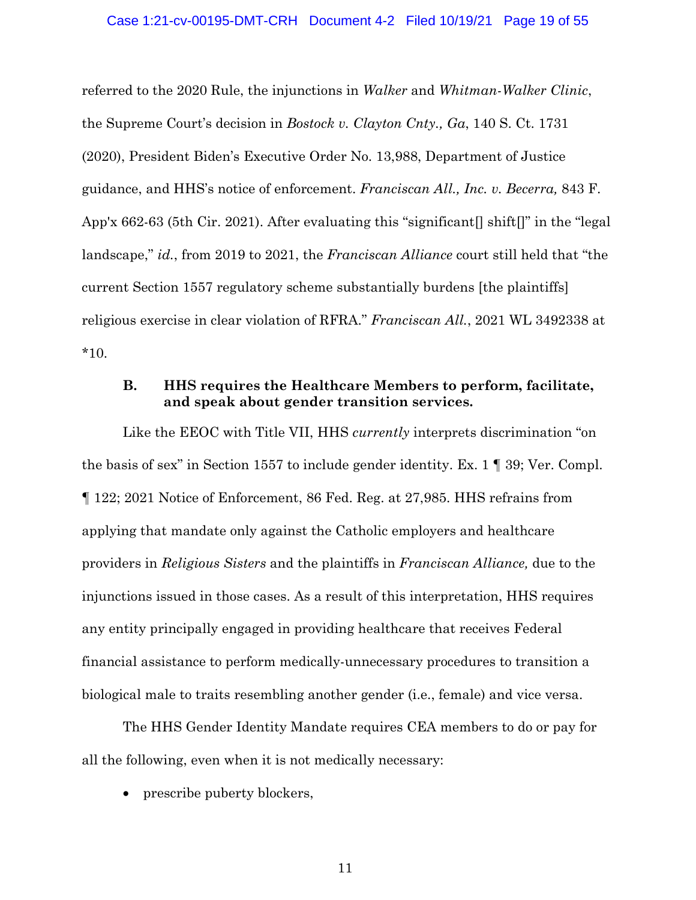referred to the 2020 Rule, the injunctions in *Walker* and *Whitman-Walker Clinic*, the Supreme Court's decision in *Bostock v. Clayton Cnty., Ga*, 140 S. Ct. 1731 (2020), President Biden's Executive Order No. 13,988, Department of Justice guidance, and HHS's notice of enforcement. *Franciscan All., Inc. v. Becerra,* 843 F. App'x 662-63 (5th Cir. 2021). After evaluating this "significant  $\lceil \sin \theta \rceil$ " in the "legal" landscape," *id.*, from 2019 to 2021, the *Franciscan Alliance* court still held that "the current Section 1557 regulatory scheme substantially burdens [the plaintiffs] religious exercise in clear violation of RFRA." *Franciscan All.*, 2021 WL 3492338 at \*10.

## **B. HHS requires the Healthcare Members to perform, facilitate, and speak about gender transition services.**

Like the EEOC with Title VII, HHS *currently* interprets discrimination "on the basis of sex" in Section 1557 to include gender identity. Ex. 1 ¶ 39; Ver. Compl. ¶ 122; 2021 Notice of Enforcement, 86 Fed. Reg. at 27,985. HHS refrains from applying that mandate only against the Catholic employers and healthcare providers in *Religious Sisters* and the plaintiffs in *Franciscan Alliance,* due to the injunctions issued in those cases. As a result of this interpretation, HHS requires any entity principally engaged in providing healthcare that receives Federal financial assistance to perform medically-unnecessary procedures to transition a biological male to traits resembling another gender (i.e., female) and vice versa.

The HHS Gender Identity Mandate requires CEA members to do or pay for all the following, even when it is not medically necessary:

• prescribe puberty blockers,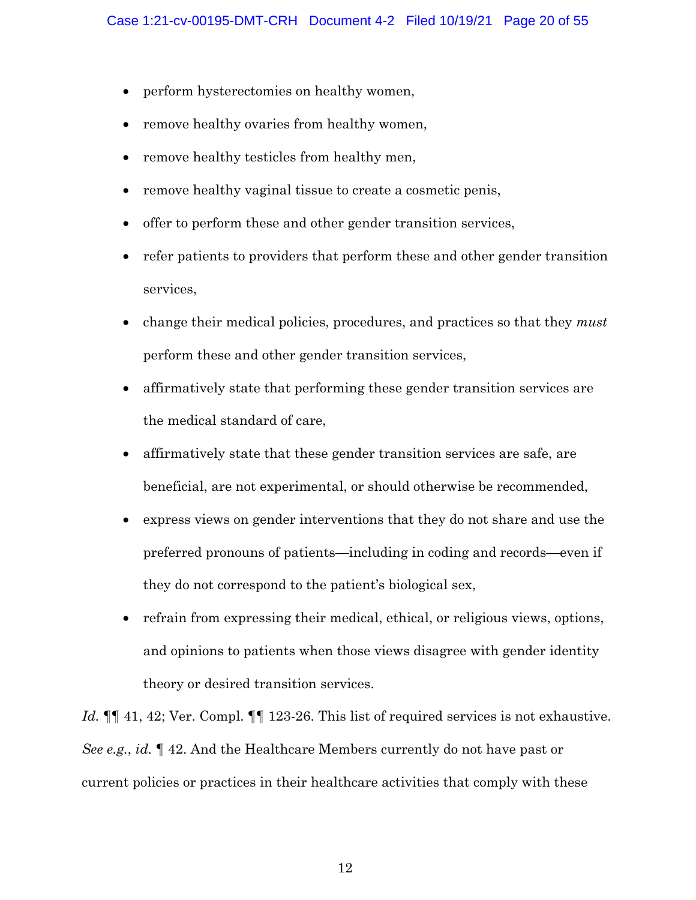- perform hysterectomies on healthy women,
- remove healthy ovaries from healthy women,
- remove healthy testicles from healthy men,
- remove healthy vaginal tissue to create a cosmetic penis,
- offer to perform these and other gender transition services,
- refer patients to providers that perform these and other gender transition services,
- change their medical policies, procedures, and practices so that they *must*  perform these and other gender transition services,
- affirmatively state that performing these gender transition services are the medical standard of care,
- affirmatively state that these gender transition services are safe, are beneficial, are not experimental, or should otherwise be recommended,
- express views on gender interventions that they do not share and use the preferred pronouns of patients—including in coding and records—even if they do not correspond to the patient's biological sex,
- refrain from expressing their medical, ethical, or religious views, options, and opinions to patients when those views disagree with gender identity theory or desired transition services.

*Id.*  $\P\P$  41, 42; Ver. Compl.  $\P\P$  123-26. This list of required services is not exhaustive. *See e.g.*, *id.* ¶ 42. And the Healthcare Members currently do not have past or current policies or practices in their healthcare activities that comply with these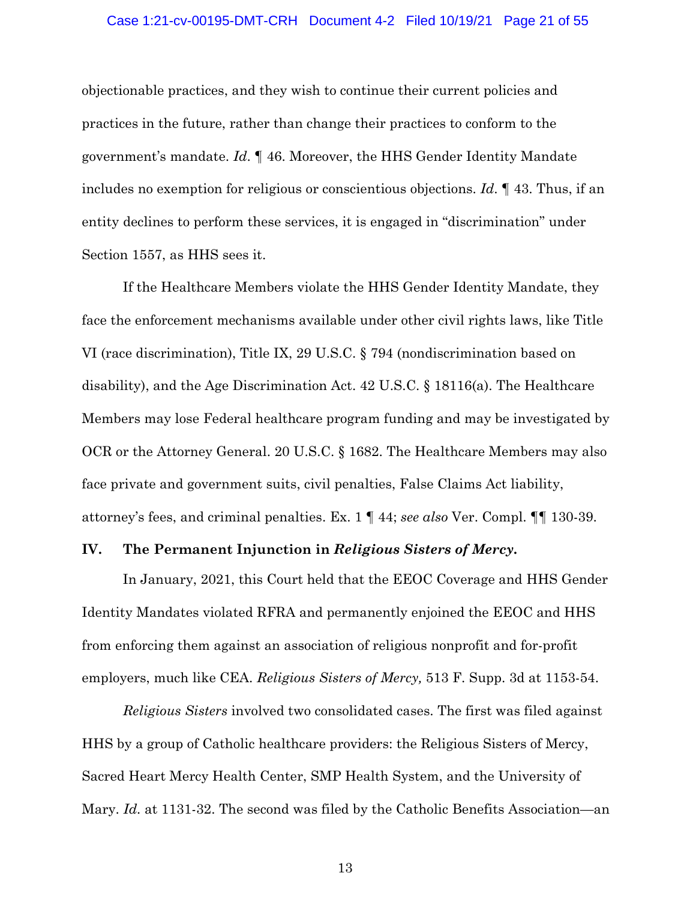#### Case 1:21-cv-00195-DMT-CRH Document 4-2 Filed 10/19/21 Page 21 of 55

objectionable practices, and they wish to continue their current policies and practices in the future, rather than change their practices to conform to the government's mandate. *Id*. ¶ 46. Moreover, the HHS Gender Identity Mandate includes no exemption for religious or conscientious objections. *Id*. ¶ 43. Thus, if an entity declines to perform these services, it is engaged in "discrimination" under Section 1557, as HHS sees it.

If the Healthcare Members violate the HHS Gender Identity Mandate, they face the enforcement mechanisms available under other civil rights laws, like Title VI (race discrimination), Title IX, 29 U.S.C. § 794 (nondiscrimination based on disability), and the Age Discrimination Act. 42 U.S.C. § 18116(a). The Healthcare Members may lose Federal healthcare program funding and may be investigated by OCR or the Attorney General. 20 U.S.C. § 1682. The Healthcare Members may also face private and government suits, civil penalties, False Claims Act liability, attorney's fees, and criminal penalties. Ex. 1 ¶ 44; *see also* Ver. Compl. ¶¶ 130-39.

### **IV. The Permanent Injunction in** *Religious Sisters of Mercy***.**

In January, 2021, this Court held that the EEOC Coverage and HHS Gender Identity Mandates violated RFRA and permanently enjoined the EEOC and HHS from enforcing them against an association of religious nonprofit and for-profit employers, much like CEA. *Religious Sisters of Mercy,* 513 F. Supp. 3d at 1153-54.

*Religious Sisters* involved two consolidated cases. The first was filed against HHS by a group of Catholic healthcare providers: the Religious Sisters of Mercy, Sacred Heart Mercy Health Center, SMP Health System, and the University of Mary. *Id.* at 1131-32. The second was filed by the Catholic Benefits Association—an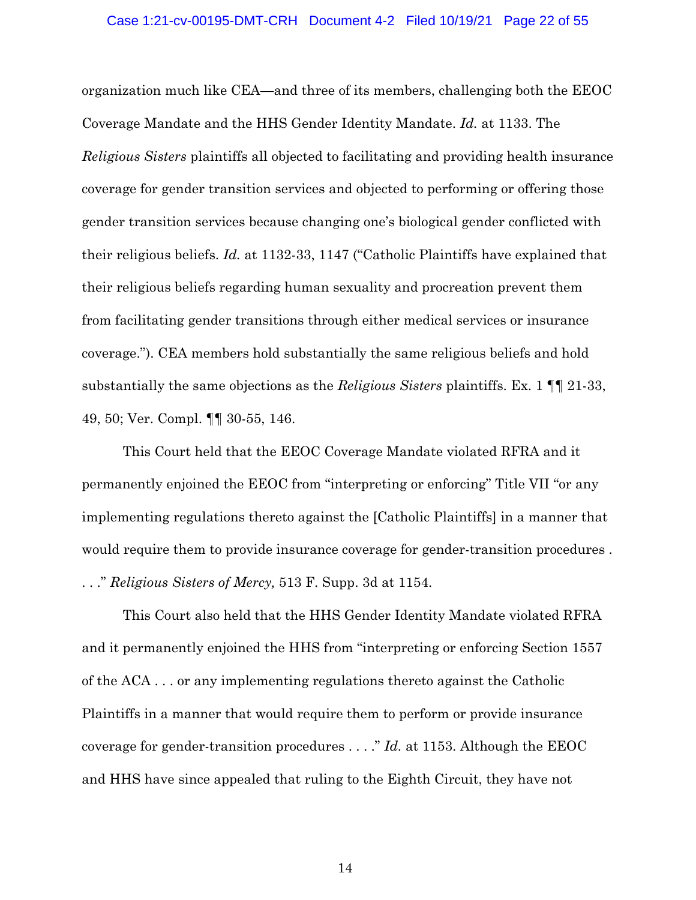#### Case 1:21-cv-00195-DMT-CRH Document 4-2 Filed 10/19/21 Page 22 of 55

organization much like CEA—and three of its members, challenging both the EEOC Coverage Mandate and the HHS Gender Identity Mandate. *Id.* at 1133. The *Religious Sisters* plaintiffs all objected to facilitating and providing health insurance coverage for gender transition services and objected to performing or offering those gender transition services because changing one's biological gender conflicted with their religious beliefs. *Id.* at 1132-33, 1147 ("Catholic Plaintiffs have explained that their religious beliefs regarding human sexuality and procreation prevent them from facilitating gender transitions through either medical services or insurance coverage."). CEA members hold substantially the same religious beliefs and hold substantially the same objections as the *Religious Sisters* plaintiffs. Ex. 1 ¶¶ 21-33, 49, 50; Ver. Compl. ¶¶ 30-55, 146.

This Court held that the EEOC Coverage Mandate violated RFRA and it permanently enjoined the EEOC from "interpreting or enforcing" Title VII "or any implementing regulations thereto against the [Catholic Plaintiffs] in a manner that would require them to provide insurance coverage for gender-transition procedures . . . ." *Religious Sisters of Mercy,* 513 F. Supp. 3d at 1154.

This Court also held that the HHS Gender Identity Mandate violated RFRA and it permanently enjoined the HHS from "interpreting or enforcing Section 1557 of the ACA . . . or any implementing regulations thereto against the Catholic Plaintiffs in a manner that would require them to perform or provide insurance coverage for gender-transition procedures . . . ." *Id.* at 1153. Although the EEOC and HHS have since appealed that ruling to the Eighth Circuit, they have not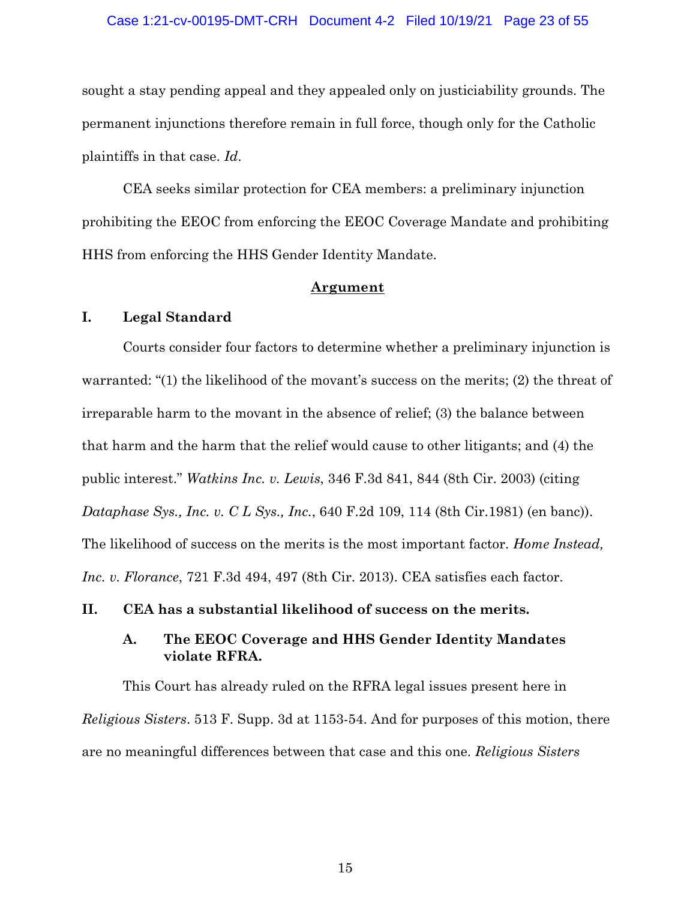### Case 1:21-cv-00195-DMT-CRH Document 4-2 Filed 10/19/21 Page 23 of 55

sought a stay pending appeal and they appealed only on justiciability grounds. The permanent injunctions therefore remain in full force, though only for the Catholic plaintiffs in that case. *Id*.

CEA seeks similar protection for CEA members: a preliminary injunction prohibiting the EEOC from enforcing the EEOC Coverage Mandate and prohibiting HHS from enforcing the HHS Gender Identity Mandate.

### **Argument**

## **I. Legal Standard**

Courts consider four factors to determine whether a preliminary injunction is warranted: "(1) the likelihood of the movant's success on the merits; (2) the threat of irreparable harm to the movant in the absence of relief; (3) the balance between that harm and the harm that the relief would cause to other litigants; and (4) the public interest." *Watkins Inc. v. Lewis*, 346 F.3d 841, 844 (8th Cir. 2003) (citing *Dataphase Sys., Inc. v. C L Sys., Inc.*, 640 F.2d 109, 114 (8th Cir.1981) (en banc)). The likelihood of success on the merits is the most important factor. *Home Instead, Inc. v. Florance*, 721 F.3d 494, 497 (8th Cir. 2013). CEA satisfies each factor.

**II. CEA has a substantial likelihood of success on the merits.**

## **A. The EEOC Coverage and HHS Gender Identity Mandates violate RFRA.**

This Court has already ruled on the RFRA legal issues present here in *Religious Sisters*. 513 F. Supp. 3d at 1153-54. And for purposes of this motion, there are no meaningful differences between that case and this one. *Religious Sisters*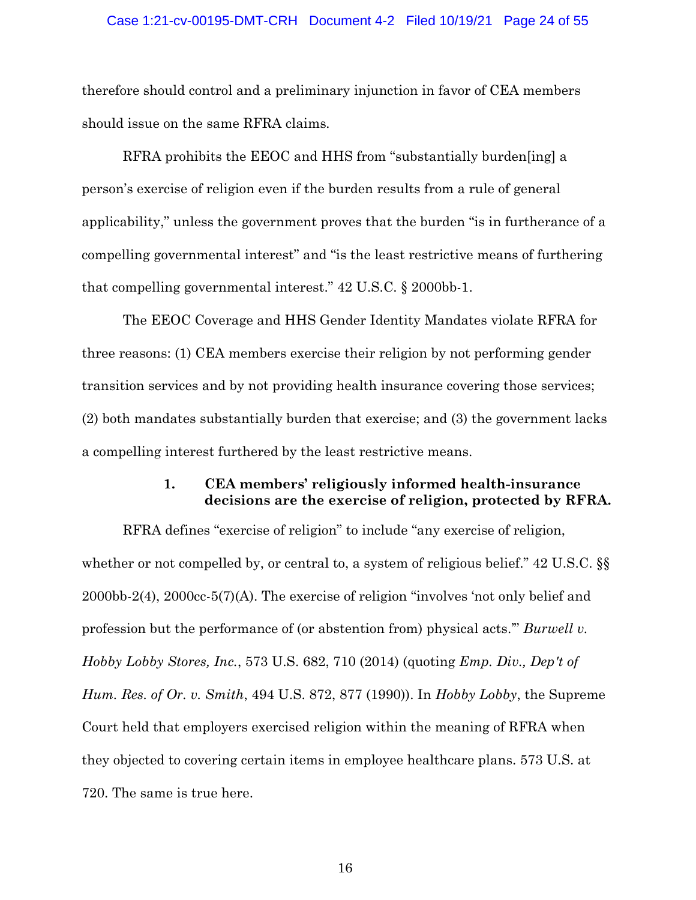### Case 1:21-cv-00195-DMT-CRH Document 4-2 Filed 10/19/21 Page 24 of 55

therefore should control and a preliminary injunction in favor of CEA members should issue on the same RFRA claims*.*

RFRA prohibits the EEOC and HHS from "substantially burden[ing] a person's exercise of religion even if the burden results from a rule of general applicability," unless the government proves that the burden "is in furtherance of a compelling governmental interest" and "is the least restrictive means of furthering that compelling governmental interest." 42 U.S.C. § 2000bb-1.

The EEOC Coverage and HHS Gender Identity Mandates violate RFRA for three reasons: (1) CEA members exercise their religion by not performing gender transition services and by not providing health insurance covering those services; (2) both mandates substantially burden that exercise; and (3) the government lacks a compelling interest furthered by the least restrictive means.

## **1. CEA members' religiously informed health-insurance decisions are the exercise of religion, protected by RFRA.**

RFRA defines "exercise of religion" to include "any exercise of religion, whether or not compelled by, or central to, a system of religious belief." 42 U.S.C.  $\S$ 2000bb-2(4), 2000cc-5(7)(A). The exercise of religion "involves 'not only belief and profession but the performance of (or abstention from) physical acts.'" *Burwell v. Hobby Lobby Stores, Inc.*, 573 U.S. 682, 710 (2014) (quoting *Emp. Div., Dep't of Hum. Res. of Or. v. Smith*, 494 U.S. 872, 877 (1990)). In *Hobby Lobby*, the Supreme Court held that employers exercised religion within the meaning of RFRA when they objected to covering certain items in employee healthcare plans. 573 U.S. at 720. The same is true here.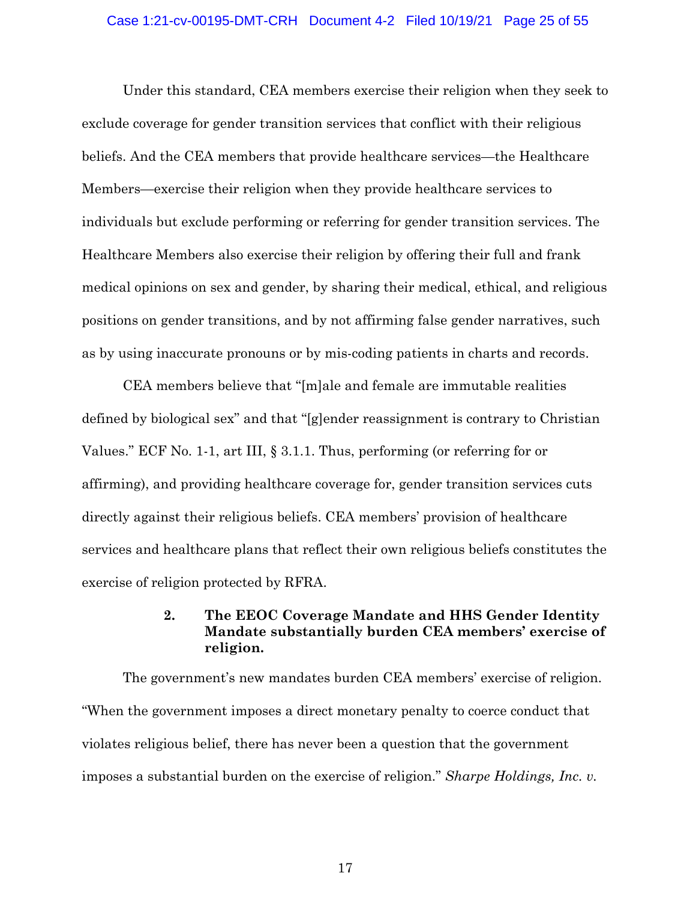### Case 1:21-cv-00195-DMT-CRH Document 4-2 Filed 10/19/21 Page 25 of 55

Under this standard, CEA members exercise their religion when they seek to exclude coverage for gender transition services that conflict with their religious beliefs. And the CEA members that provide healthcare services—the Healthcare Members—exercise their religion when they provide healthcare services to individuals but exclude performing or referring for gender transition services. The Healthcare Members also exercise their religion by offering their full and frank medical opinions on sex and gender, by sharing their medical, ethical, and religious positions on gender transitions, and by not affirming false gender narratives, such as by using inaccurate pronouns or by mis-coding patients in charts and records.

CEA members believe that "[m]ale and female are immutable realities defined by biological sex" and that "[g]ender reassignment is contrary to Christian Values." ECF No. 1-1, art III, § 3.1.1. Thus, performing (or referring for or affirming), and providing healthcare coverage for, gender transition services cuts directly against their religious beliefs. CEA members' provision of healthcare services and healthcare plans that reflect their own religious beliefs constitutes the exercise of religion protected by RFRA.

## **2. The EEOC Coverage Mandate and HHS Gender Identity Mandate substantially burden CEA members' exercise of religion.**

The government's new mandates burden CEA members' exercise of religion. "When the government imposes a direct monetary penalty to coerce conduct that violates religious belief, there has never been a question that the government imposes a substantial burden on the exercise of religion." *Sharpe Holdings, Inc. v.*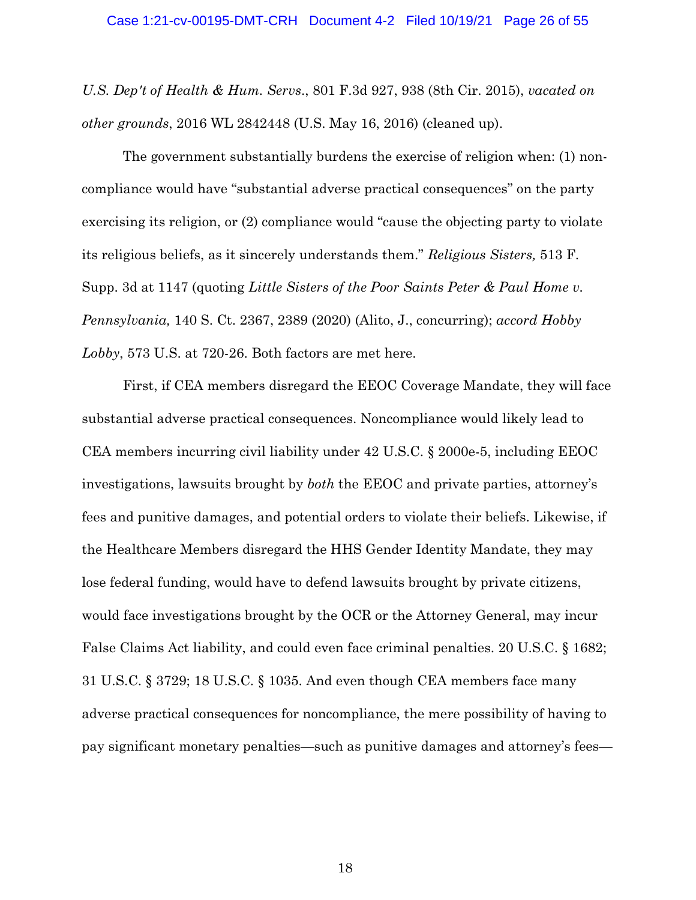*U.S. Dep't of Health & Hum. Servs*., 801 F.3d 927, 938 (8th Cir. 2015), *vacated on other grounds*, 2016 WL 2842448 (U.S. May 16, 2016) (cleaned up).

The government substantially burdens the exercise of religion when: (1) noncompliance would have "substantial adverse practical consequences" on the party exercising its religion, or (2) compliance would "cause the objecting party to violate its religious beliefs, as it sincerely understands them." *Religious Sisters,* 513 F. Supp. 3d at 1147 (quoting *Little Sisters of the Poor Saints Peter & Paul Home v. Pennsylvania,* 140 S. Ct. 2367, 2389 (2020) (Alito, J., concurring); *accord Hobby Lobby*, 573 U.S. at 720-26. Both factors are met here.

First, if CEA members disregard the EEOC Coverage Mandate, they will face substantial adverse practical consequences. Noncompliance would likely lead to CEA members incurring civil liability under 42 U.S.C. § 2000e-5, including EEOC investigations, lawsuits brought by *both* the EEOC and private parties, attorney's fees and punitive damages, and potential orders to violate their beliefs. Likewise, if the Healthcare Members disregard the HHS Gender Identity Mandate, they may lose federal funding, would have to defend lawsuits brought by private citizens, would face investigations brought by the OCR or the Attorney General, may incur False Claims Act liability, and could even face criminal penalties. 20 U.S.C. § 1682; 31 U.S.C. § 3729; 18 U.S.C. § 1035. And even though CEA members face many adverse practical consequences for noncompliance, the mere possibility of having to pay significant monetary penalties—such as punitive damages and attorney's fees—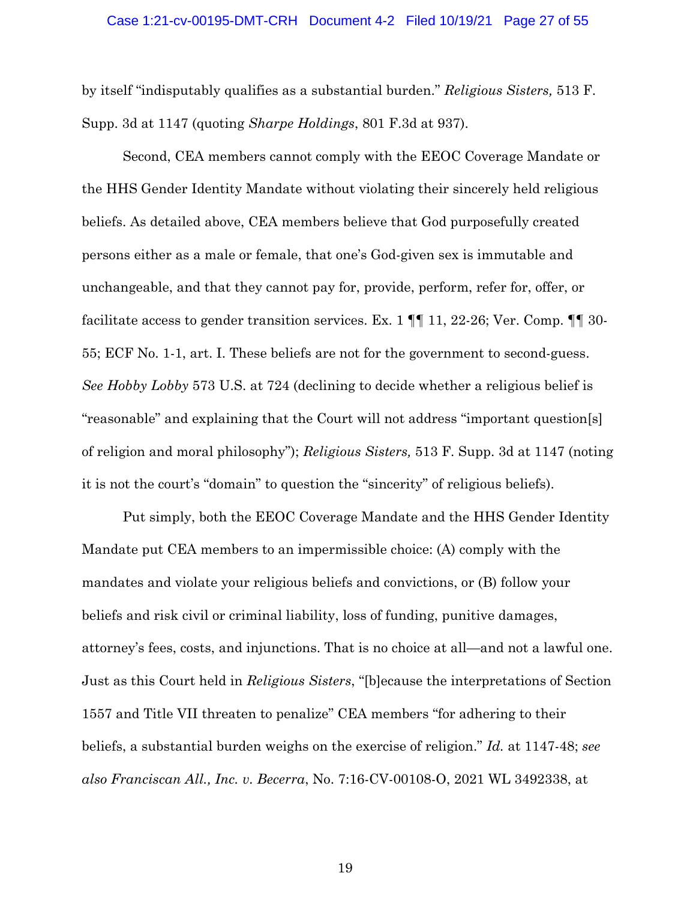#### Case 1:21-cv-00195-DMT-CRH Document 4-2 Filed 10/19/21 Page 27 of 55

by itself "indisputably qualifies as a substantial burden." *Religious Sisters,* 513 F. Supp. 3d at 1147 (quoting *Sharpe Holdings*, 801 F.3d at 937).

Second, CEA members cannot comply with the EEOC Coverage Mandate or the HHS Gender Identity Mandate without violating their sincerely held religious beliefs. As detailed above, CEA members believe that God purposefully created persons either as a male or female, that one's God-given sex is immutable and unchangeable, and that they cannot pay for, provide, perform, refer for, offer, or facilitate access to gender transition services. Ex. 1  $\P$  11, 22-26; Ver. Comp.  $\P$  30-55; ECF No. 1-1, art. I. These beliefs are not for the government to second-guess. *See Hobby Lobby* 573 U.S. at 724 (declining to decide whether a religious belief is "reasonable" and explaining that the Court will not address "important question[s] of religion and moral philosophy"); *Religious Sisters,* 513 F. Supp. 3d at 1147 (noting it is not the court's "domain" to question the "sincerity" of religious beliefs).

Put simply, both the EEOC Coverage Mandate and the HHS Gender Identity Mandate put CEA members to an impermissible choice: (A) comply with the mandates and violate your religious beliefs and convictions, or (B) follow your beliefs and risk civil or criminal liability, loss of funding, punitive damages, attorney's fees, costs, and injunctions. That is no choice at all—and not a lawful one. Just as this Court held in *Religious Sisters*, "[b]ecause the interpretations of Section 1557 and Title VII threaten to penalize" CEA members "for adhering to their beliefs, a substantial burden weighs on the exercise of religion." *Id.* at 1147-48; *see also Franciscan All., Inc. v. Becerra*, No. 7:16-CV-00108-O, 2021 WL 3492338, at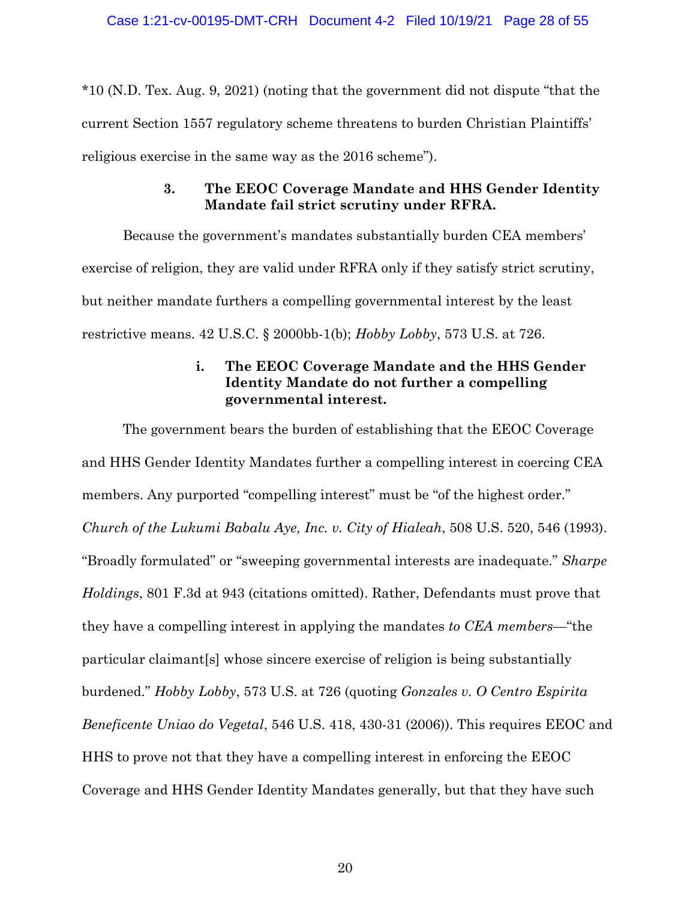\*10 (N.D. Tex. Aug. 9, 2021) (noting that the government did not dispute "that the current Section 1557 regulatory scheme threatens to burden Christian Plaintiffs' religious exercise in the same way as the 2016 scheme").

## **3. The EEOC Coverage Mandate and HHS Gender Identity Mandate fail strict scrutiny under RFRA.**

Because the government's mandates substantially burden CEA members' exercise of religion, they are valid under RFRA only if they satisfy strict scrutiny, but neither mandate furthers a compelling governmental interest by the least restrictive means. 42 U.S.C. § 2000bb-1(b); *Hobby Lobby*, 573 U.S. at 726.

## **i. The EEOC Coverage Mandate and the HHS Gender Identity Mandate do not further a compelling governmental interest.**

The government bears the burden of establishing that the EEOC Coverage and HHS Gender Identity Mandates further a compelling interest in coercing CEA members. Any purported "compelling interest" must be "of the highest order." *Church of the Lukumi Babalu Aye, Inc. v. City of Hialeah*, 508 U.S. 520, 546 (1993). "Broadly formulated" or "sweeping governmental interests are inadequate." *Sharpe Holdings*, 801 F.3d at 943 (citations omitted). Rather, Defendants must prove that they have a compelling interest in applying the mandates *to CEA members*—"the particular claimant[s] whose sincere exercise of religion is being substantially burdened." *Hobby Lobby*, 573 U.S. at 726 (quoting *Gonzales v. O Centro Espirita Beneficente Uniao do Vegetal*, 546 U.S. 418, 430-31 (2006)). This requires EEOC and HHS to prove not that they have a compelling interest in enforcing the EEOC Coverage and HHS Gender Identity Mandates generally, but that they have such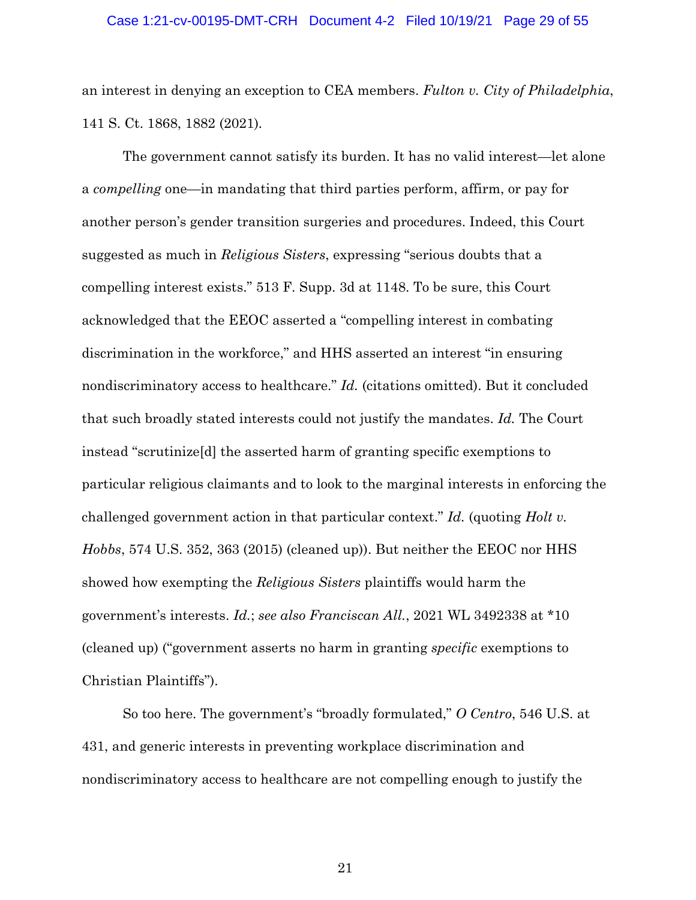### Case 1:21-cv-00195-DMT-CRH Document 4-2 Filed 10/19/21 Page 29 of 55

an interest in denying an exception to CEA members. *Fulton v. City of Philadelphia*, 141 S. Ct. 1868, 1882 (2021)*.*

The government cannot satisfy its burden. It has no valid interest—let alone a *compelling* one—in mandating that third parties perform, affirm, or pay for another person's gender transition surgeries and procedures. Indeed, this Court suggested as much in *Religious Sisters*, expressing "serious doubts that a compelling interest exists." 513 F. Supp. 3d at 1148. To be sure, this Court acknowledged that the EEOC asserted a "compelling interest in combating discrimination in the workforce," and HHS asserted an interest "in ensuring nondiscriminatory access to healthcare." *Id.* (citations omitted). But it concluded that such broadly stated interests could not justify the mandates. *Id.* The Court instead "scrutinize[d] the asserted harm of granting specific exemptions to particular religious claimants and to look to the marginal interests in enforcing the challenged government action in that particular context." *Id.* (quoting *Holt v. Hobbs*, 574 U.S. 352, 363 (2015) (cleaned up)). But neither the EEOC nor HHS showed how exempting the *Religious Sisters* plaintiffs would harm the government's interests. *Id.*; *see also Franciscan All.*, 2021 WL 3492338 at \*10 (cleaned up) ("government asserts no harm in granting *specific* exemptions to Christian Plaintiffs").

So too here. The government's "broadly formulated," *O Centro*, 546 U.S. at 431, and generic interests in preventing workplace discrimination and nondiscriminatory access to healthcare are not compelling enough to justify the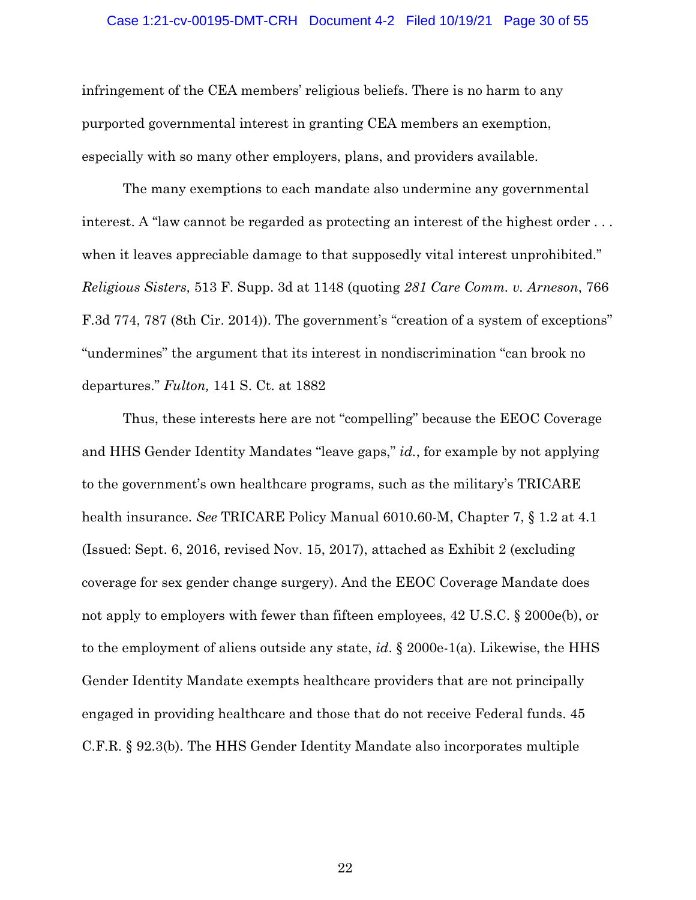### Case 1:21-cv-00195-DMT-CRH Document 4-2 Filed 10/19/21 Page 30 of 55

infringement of the CEA members' religious beliefs. There is no harm to any purported governmental interest in granting CEA members an exemption, especially with so many other employers, plans, and providers available.

The many exemptions to each mandate also undermine any governmental interest. A "law cannot be regarded as protecting an interest of the highest order . . . when it leaves appreciable damage to that supposedly vital interest unprohibited." *Religious Sisters,* 513 F. Supp. 3d at 1148 (quoting *281 Care Comm. v. Arneson*, 766 F.3d 774, 787 (8th Cir. 2014)). The government's "creation of a system of exceptions" "undermines" the argument that its interest in nondiscrimination "can brook no departures." *Fulton,* 141 S. Ct. at 1882

Thus, these interests here are not "compelling" because the EEOC Coverage and HHS Gender Identity Mandates "leave gaps," *id.*, for example by not applying to the government's own healthcare programs, such as the military's TRICARE health insurance. *See* TRICARE Policy Manual 6010.60-M, Chapter 7, § 1.2 at 4.1 (Issued: Sept. 6, 2016, revised Nov. 15, 2017), attached as Exhibit 2 (excluding coverage for sex gender change surgery). And the EEOC Coverage Mandate does not apply to employers with fewer than fifteen employees, 42 U.S.C. § 2000e(b), or to the employment of aliens outside any state, *id*. § 2000e-1(a). Likewise, the HHS Gender Identity Mandate exempts healthcare providers that are not principally engaged in providing healthcare and those that do not receive Federal funds. 45 C.F.R. § 92.3(b). The HHS Gender Identity Mandate also incorporates multiple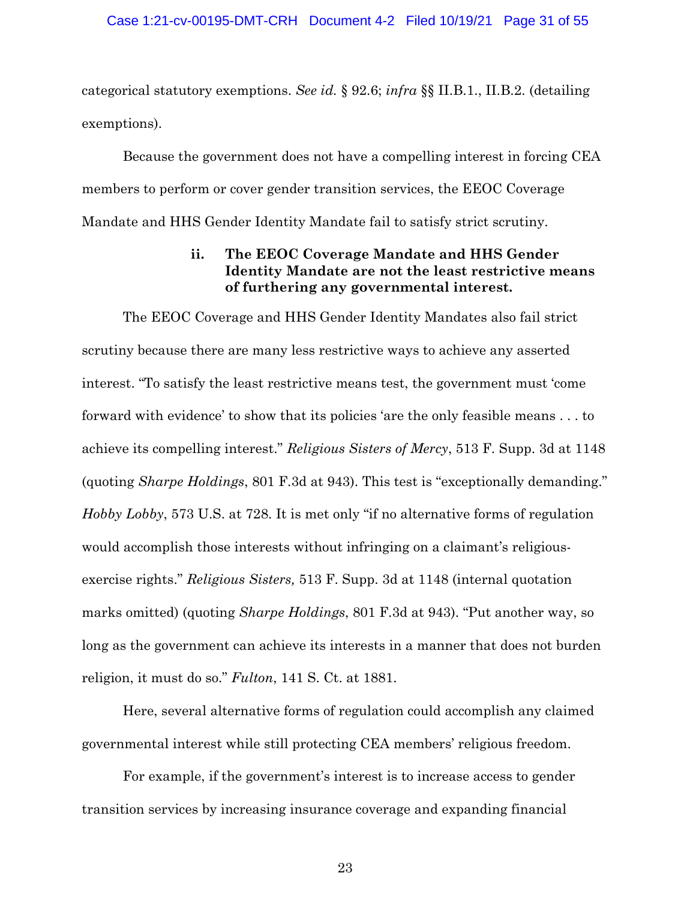categorical statutory exemptions. *See id.* § 92.6; *infra* §§ II.B.1., II.B.2. (detailing exemptions).

Because the government does not have a compelling interest in forcing CEA members to perform or cover gender transition services, the EEOC Coverage Mandate and HHS Gender Identity Mandate fail to satisfy strict scrutiny.

## **ii. The EEOC Coverage Mandate and HHS Gender Identity Mandate are not the least restrictive means of furthering any governmental interest.**

The EEOC Coverage and HHS Gender Identity Mandates also fail strict scrutiny because there are many less restrictive ways to achieve any asserted interest. "To satisfy the least restrictive means test, the government must 'come forward with evidence' to show that its policies 'are the only feasible means . . . to achieve its compelling interest." *Religious Sisters of Mercy*, 513 F. Supp. 3d at 1148 (quoting *Sharpe Holdings*, 801 F.3d at 943). This test is "exceptionally demanding." *Hobby Lobby*, 573 U.S. at 728. It is met only "if no alternative forms of regulation would accomplish those interests without infringing on a claimant's religiousexercise rights." *Religious Sisters,* 513 F. Supp. 3d at 1148 (internal quotation marks omitted) (quoting *Sharpe Holdings*, 801 F.3d at 943). "Put another way, so long as the government can achieve its interests in a manner that does not burden religion, it must do so." *Fulton*, 141 S. Ct. at 1881.

Here, several alternative forms of regulation could accomplish any claimed governmental interest while still protecting CEA members' religious freedom.

For example, if the government's interest is to increase access to gender transition services by increasing insurance coverage and expanding financial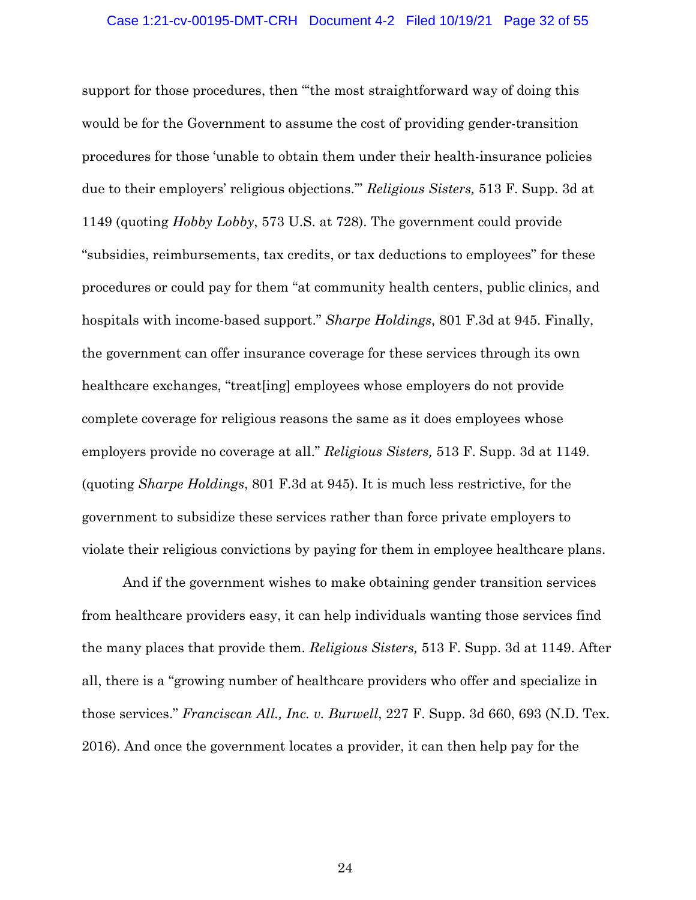### Case 1:21-cv-00195-DMT-CRH Document 4-2 Filed 10/19/21 Page 32 of 55

support for those procedures, then "'the most straightforward way of doing this would be for the Government to assume the cost of providing gender-transition procedures for those 'unable to obtain them under their health-insurance policies due to their employers' religious objections.'" *Religious Sisters,* 513 F. Supp. 3d at 1149 (quoting *Hobby Lobby*, 573 U.S. at 728). The government could provide "subsidies, reimbursements, tax credits, or tax deductions to employees" for these procedures or could pay for them "at community health centers, public clinics, and hospitals with income-based support." *Sharpe Holdings*, 801 F.3d at 945. Finally, the government can offer insurance coverage for these services through its own healthcare exchanges, "treat[ing] employees whose employers do not provide complete coverage for religious reasons the same as it does employees whose employers provide no coverage at all." *Religious Sisters,* 513 F. Supp. 3d at 1149. (quoting *Sharpe Holdings*, 801 F.3d at 945). It is much less restrictive, for the government to subsidize these services rather than force private employers to violate their religious convictions by paying for them in employee healthcare plans.

And if the government wishes to make obtaining gender transition services from healthcare providers easy, it can help individuals wanting those services find the many places that provide them. *Religious Sisters,* 513 F. Supp. 3d at 1149. After all, there is a "growing number of healthcare providers who offer and specialize in those services." *Franciscan All., Inc. v. Burwell*, 227 F. Supp. 3d 660, 693 (N.D. Tex. 2016). And once the government locates a provider, it can then help pay for the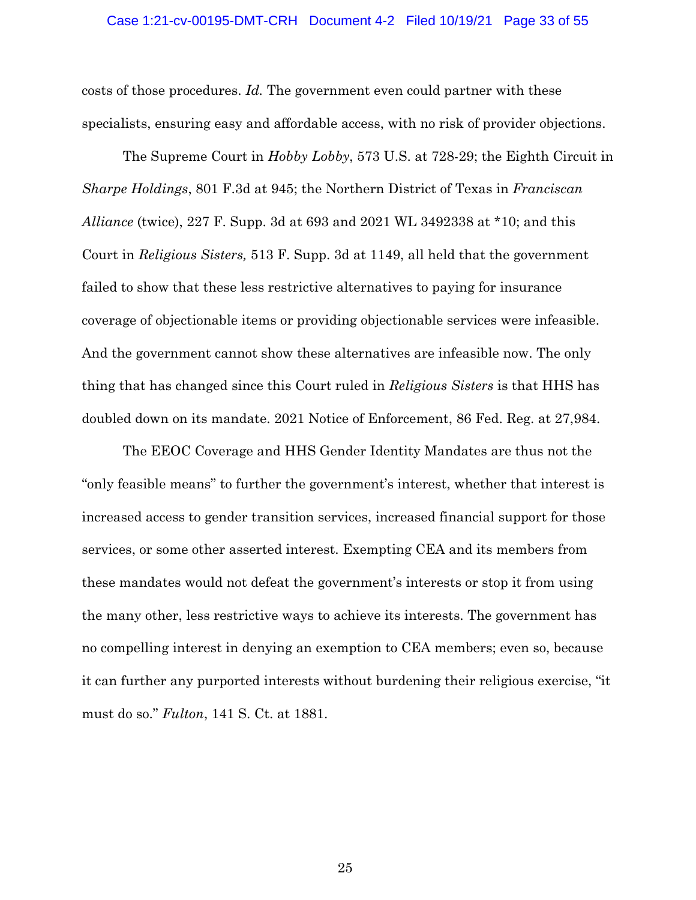### Case 1:21-cv-00195-DMT-CRH Document 4-2 Filed 10/19/21 Page 33 of 55

costs of those procedures. *Id.* The government even could partner with these specialists, ensuring easy and affordable access, with no risk of provider objections.

The Supreme Court in *Hobby Lobby*, 573 U.S. at 728-29; the Eighth Circuit in *Sharpe Holdings*, 801 F.3d at 945; the Northern District of Texas in *Franciscan Alliance* (twice), 227 F. Supp. 3d at 693 and 2021 WL 3492338 at \*10; and this Court in *Religious Sisters,* 513 F. Supp. 3d at 1149, all held that the government failed to show that these less restrictive alternatives to paying for insurance coverage of objectionable items or providing objectionable services were infeasible. And the government cannot show these alternatives are infeasible now. The only thing that has changed since this Court ruled in *Religious Sisters* is that HHS has doubled down on its mandate. 2021 Notice of Enforcement, 86 Fed. Reg. at 27,984.

The EEOC Coverage and HHS Gender Identity Mandates are thus not the "only feasible means" to further the government's interest, whether that interest is increased access to gender transition services, increased financial support for those services, or some other asserted interest. Exempting CEA and its members from these mandates would not defeat the government's interests or stop it from using the many other, less restrictive ways to achieve its interests. The government has no compelling interest in denying an exemption to CEA members; even so, because it can further any purported interests without burdening their religious exercise, "it must do so." *Fulton*, 141 S. Ct. at 1881.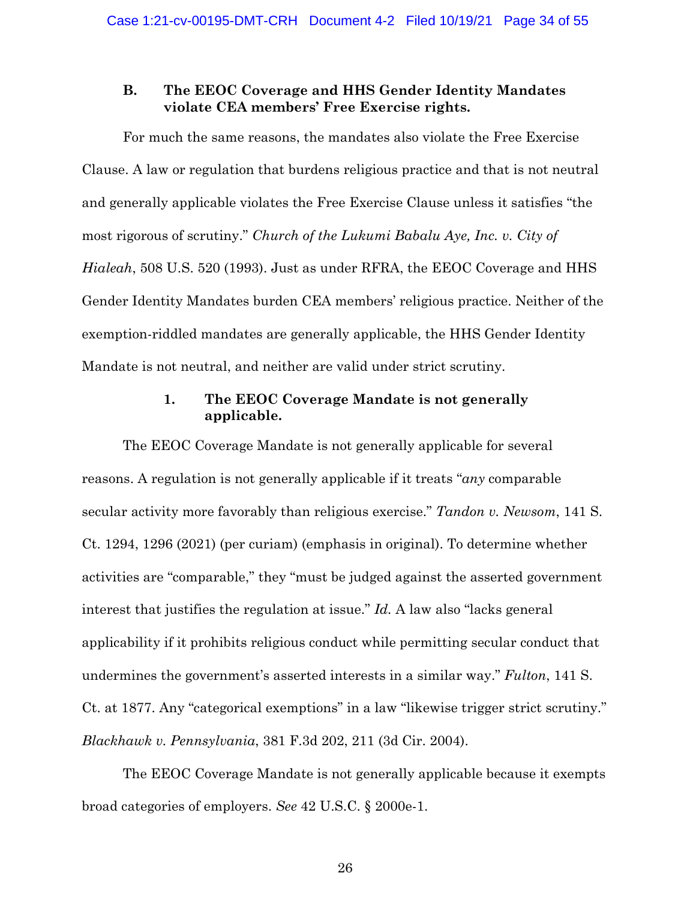### **B. The EEOC Coverage and HHS Gender Identity Mandates violate CEA members' Free Exercise rights.**

For much the same reasons, the mandates also violate the Free Exercise Clause. A law or regulation that burdens religious practice and that is not neutral and generally applicable violates the Free Exercise Clause unless it satisfies "the most rigorous of scrutiny." *Church of the Lukumi Babalu Aye, Inc. v. City of Hialeah*, 508 U.S. 520 (1993). Just as under RFRA, the EEOC Coverage and HHS Gender Identity Mandates burden CEA members' religious practice. Neither of the exemption-riddled mandates are generally applicable, the HHS Gender Identity Mandate is not neutral, and neither are valid under strict scrutiny.

## **1. The EEOC Coverage Mandate is not generally applicable.**

The EEOC Coverage Mandate is not generally applicable for several reasons. A regulation is not generally applicable if it treats "*any* comparable secular activity more favorably than religious exercise." *Tandon v. Newsom*, 141 S. Ct. 1294, 1296 (2021) (per curiam) (emphasis in original). To determine whether activities are "comparable," they "must be judged against the asserted government interest that justifies the regulation at issue." *Id.* A law also "lacks general applicability if it prohibits religious conduct while permitting secular conduct that undermines the government's asserted interests in a similar way." *Fulton*, 141 S. Ct. at 1877. Any "categorical exemptions" in a law "likewise trigger strict scrutiny." *Blackhawk v. Pennsylvania*, 381 F.3d 202, 211 (3d Cir. 2004).

The EEOC Coverage Mandate is not generally applicable because it exempts broad categories of employers. *See* 42 U.S.C. § 2000e-1.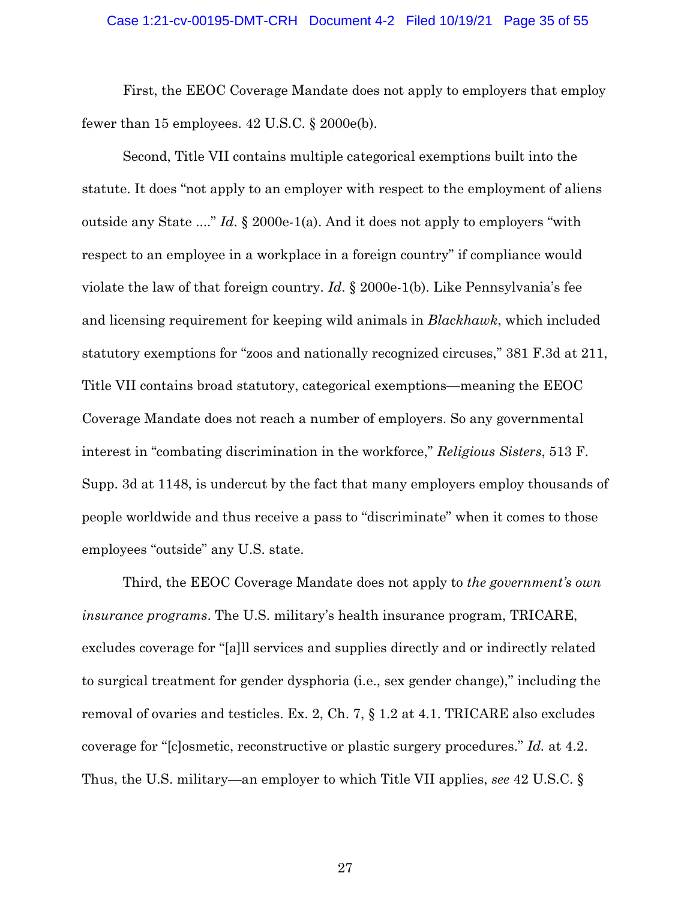### Case 1:21-cv-00195-DMT-CRH Document 4-2 Filed 10/19/21 Page 35 of 55

First, the EEOC Coverage Mandate does not apply to employers that employ fewer than 15 employees.  $42$  U.S.C.  $\S$  2000e(b).

Second, Title VII contains multiple categorical exemptions built into the statute. It does "not apply to an employer with respect to the employment of aliens outside any State ...." *Id*. § 2000e-1(a). And it does not apply to employers "with respect to an employee in a workplace in a foreign country" if compliance would violate the law of that foreign country. *Id*. § 2000e-1(b). Like Pennsylvania's fee and licensing requirement for keeping wild animals in *Blackhawk*, which included statutory exemptions for "zoos and nationally recognized circuses," 381 F.3d at 211, Title VII contains broad statutory, categorical exemptions—meaning the EEOC Coverage Mandate does not reach a number of employers. So any governmental interest in "combating discrimination in the workforce," *Religious Sisters*, 513 F. Supp. 3d at 1148, is undercut by the fact that many employers employ thousands of people worldwide and thus receive a pass to "discriminate" when it comes to those employees "outside" any U.S. state.

Third, the EEOC Coverage Mandate does not apply to *the government's own insurance programs*. The U.S. military's health insurance program, TRICARE, excludes coverage for "[a]ll services and supplies directly and or indirectly related to surgical treatment for gender dysphoria (i.e., sex gender change)," including the removal of ovaries and testicles. Ex. 2, Ch. 7, § 1.2 at 4.1. TRICARE also excludes coverage for "[c]osmetic, reconstructive or plastic surgery procedures." *Id.* at 4.2. Thus, the U.S. military—an employer to which Title VII applies, *see* 42 U.S.C. §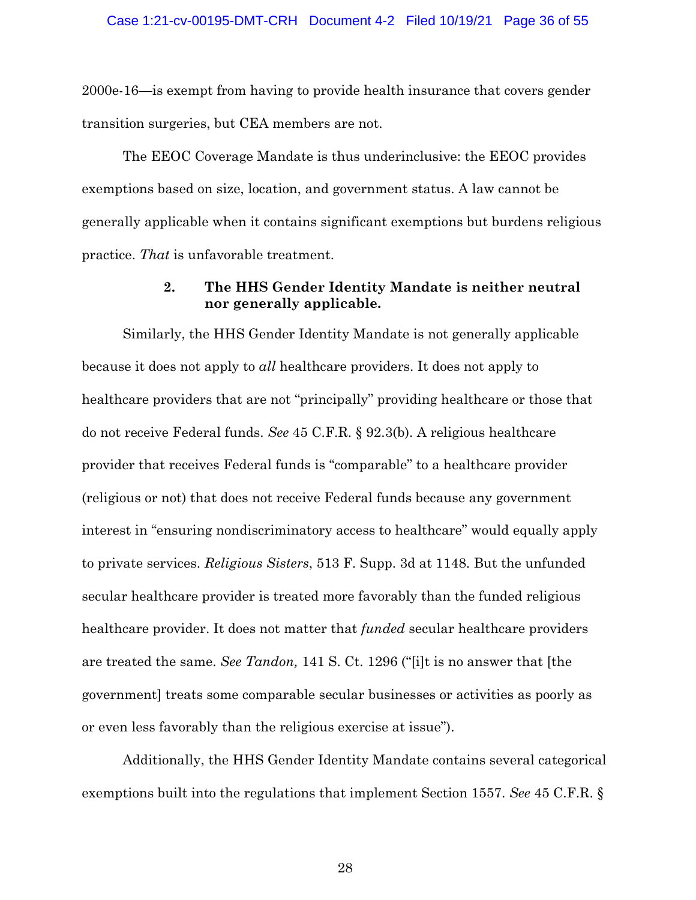2000e-16—is exempt from having to provide health insurance that covers gender transition surgeries, but CEA members are not.

The EEOC Coverage Mandate is thus underinclusive: the EEOC provides exemptions based on size, location, and government status. A law cannot be generally applicable when it contains significant exemptions but burdens religious practice. *That* is unfavorable treatment.

## **2. The HHS Gender Identity Mandate is neither neutral nor generally applicable.**

Similarly, the HHS Gender Identity Mandate is not generally applicable because it does not apply to *all* healthcare providers. It does not apply to healthcare providers that are not "principally" providing healthcare or those that do not receive Federal funds. *See* 45 C.F.R. § 92.3(b). A religious healthcare provider that receives Federal funds is "comparable" to a healthcare provider (religious or not) that does not receive Federal funds because any government interest in "ensuring nondiscriminatory access to healthcare" would equally apply to private services. *Religious Sisters*, 513 F. Supp. 3d at 1148. But the unfunded secular healthcare provider is treated more favorably than the funded religious healthcare provider. It does not matter that *funded* secular healthcare providers are treated the same. *See Tandon,* 141 S. Ct. 1296 ("[i]t is no answer that [the government] treats some comparable secular businesses or activities as poorly as or even less favorably than the religious exercise at issue").

Additionally, the HHS Gender Identity Mandate contains several categorical exemptions built into the regulations that implement Section 1557. *See* 45 C.F.R. §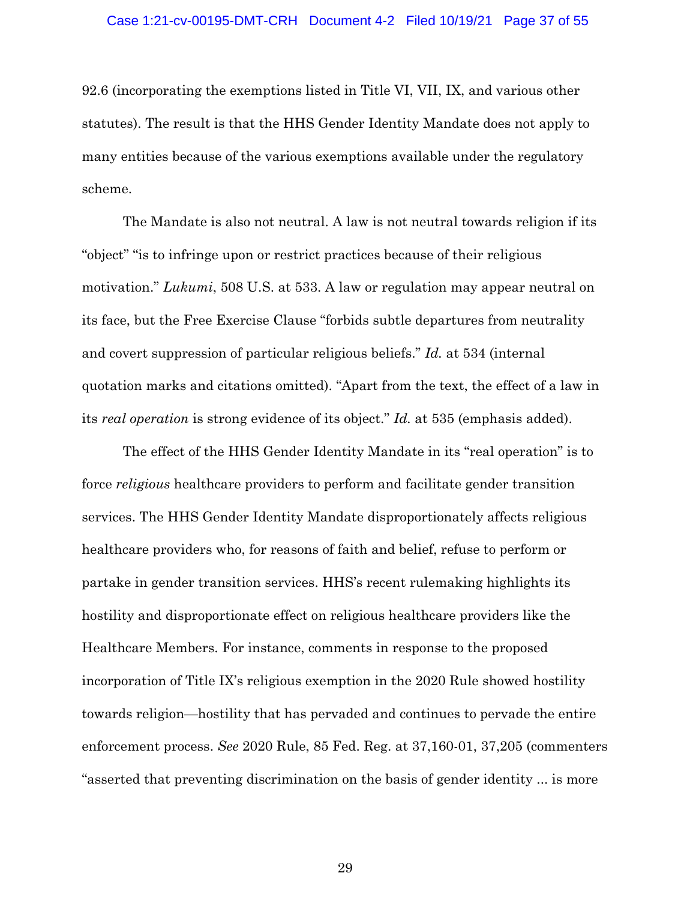92.6 (incorporating the exemptions listed in Title VI, VII, IX, and various other statutes). The result is that the HHS Gender Identity Mandate does not apply to many entities because of the various exemptions available under the regulatory scheme.

The Mandate is also not neutral. A law is not neutral towards religion if its "object" "is to infringe upon or restrict practices because of their religious motivation." *Lukumi*, 508 U.S. at 533. A law or regulation may appear neutral on its face, but the Free Exercise Clause "forbids subtle departures from neutrality and covert suppression of particular religious beliefs." *Id.* at 534 (internal quotation marks and citations omitted). "Apart from the text, the effect of a law in its *real operation* is strong evidence of its object." *Id.* at 535 (emphasis added).

The effect of the HHS Gender Identity Mandate in its "real operation" is to force *religious* healthcare providers to perform and facilitate gender transition services. The HHS Gender Identity Mandate disproportionately affects religious healthcare providers who, for reasons of faith and belief, refuse to perform or partake in gender transition services. HHS's recent rulemaking highlights its hostility and disproportionate effect on religious healthcare providers like the Healthcare Members. For instance, comments in response to the proposed incorporation of Title IX's religious exemption in the 2020 Rule showed hostility towards religion—hostility that has pervaded and continues to pervade the entire enforcement process. *See* 2020 Rule, 85 Fed. Reg. at 37,160-01, 37,205 (commenters "asserted that preventing discrimination on the basis of gender identity ... is more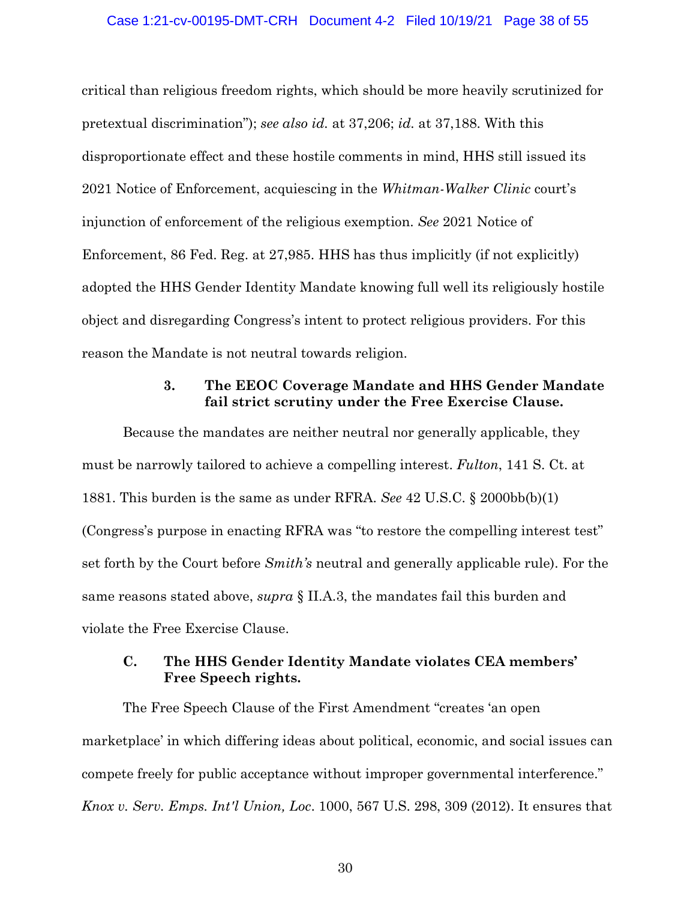### Case 1:21-cv-00195-DMT-CRH Document 4-2 Filed 10/19/21 Page 38 of 55

critical than religious freedom rights, which should be more heavily scrutinized for pretextual discrimination"); *see also id.* at 37,206; *id.* at 37,188. With this disproportionate effect and these hostile comments in mind, HHS still issued its 2021 Notice of Enforcement, acquiescing in the *Whitman-Walker Clinic* court's injunction of enforcement of the religious exemption. *See* 2021 Notice of Enforcement, 86 Fed. Reg. at 27,985. HHS has thus implicitly (if not explicitly) adopted the HHS Gender Identity Mandate knowing full well its religiously hostile object and disregarding Congress's intent to protect religious providers. For this reason the Mandate is not neutral towards religion.

## **3. The EEOC Coverage Mandate and HHS Gender Mandate fail strict scrutiny under the Free Exercise Clause.**

Because the mandates are neither neutral nor generally applicable, they must be narrowly tailored to achieve a compelling interest. *Fulton*, 141 S. Ct. at 1881. This burden is the same as under RFRA. *See* 42 U.S.C. § 2000bb(b)(1) (Congress's purpose in enacting RFRA was "to restore the compelling interest test" set forth by the Court before *Smith's* neutral and generally applicable rule). For the same reasons stated above, *supra* § II.A.3, the mandates fail this burden and violate the Free Exercise Clause.

## **C. The HHS Gender Identity Mandate violates CEA members' Free Speech rights.**

The Free Speech Clause of the First Amendment "creates 'an open marketplace' in which differing ideas about political, economic, and social issues can compete freely for public acceptance without improper governmental interference." *Knox v. Serv. Emps. Int'l Union, Loc*. 1000, 567 U.S. 298, 309 (2012). It ensures that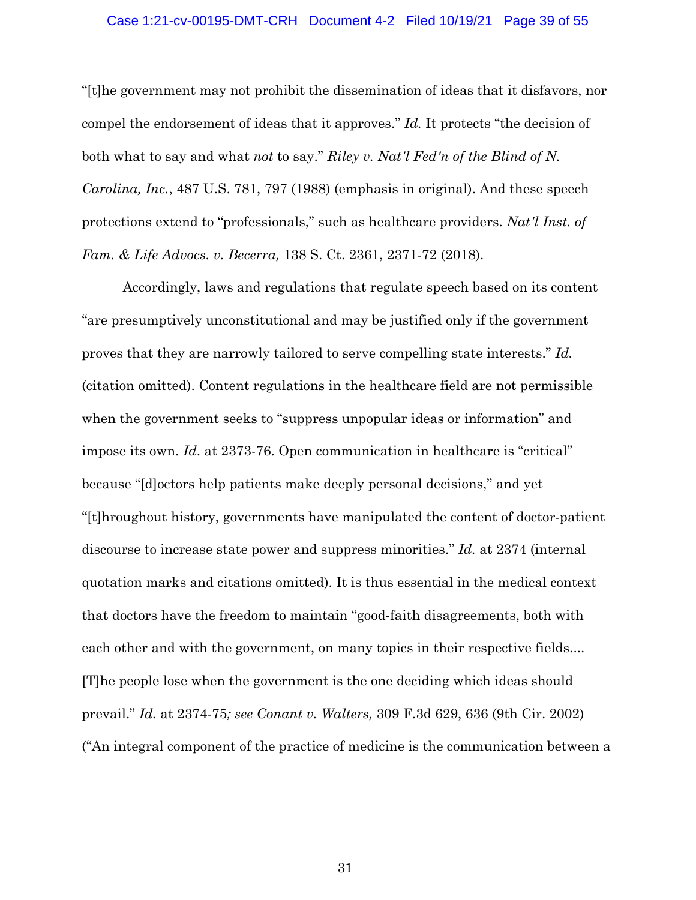### Case 1:21-cv-00195-DMT-CRH Document 4-2 Filed 10/19/21 Page 39 of 55

"[t]he government may not prohibit the dissemination of ideas that it disfavors, nor compel the endorsement of ideas that it approves." *Id.* It protects "the decision of both what to say and what *not* to say." *Riley v. Nat'l Fed'n of the Blind of N. Carolina, Inc.*, 487 U.S. 781, 797 (1988) (emphasis in original). And these speech protections extend to "professionals," such as healthcare providers. *Nat'l Inst. of Fam. & Life Advocs. v. Becerra,* 138 S. Ct. 2361, 2371-72 (2018).

Accordingly, laws and regulations that regulate speech based on its content "are presumptively unconstitutional and may be justified only if the government proves that they are narrowly tailored to serve compelling state interests." *Id.* (citation omitted). Content regulations in the healthcare field are not permissible when the government seeks to "suppress unpopular ideas or information" and impose its own. *Id*. at 2373-76. Open communication in healthcare is "critical" because "[d]octors help patients make deeply personal decisions," and yet "[t]hroughout history, governments have manipulated the content of doctor-patient discourse to increase state power and suppress minorities." *Id.* at 2374 (internal quotation marks and citations omitted). It is thus essential in the medical context that doctors have the freedom to maintain "good-faith disagreements, both with each other and with the government, on many topics in their respective fields.... [T]he people lose when the government is the one deciding which ideas should prevail." *Id.* at 2374-75*; see Conant v. Walters,* 309 F.3d 629, 636 (9th Cir. 2002) ("An integral component of the practice of medicine is the communication between a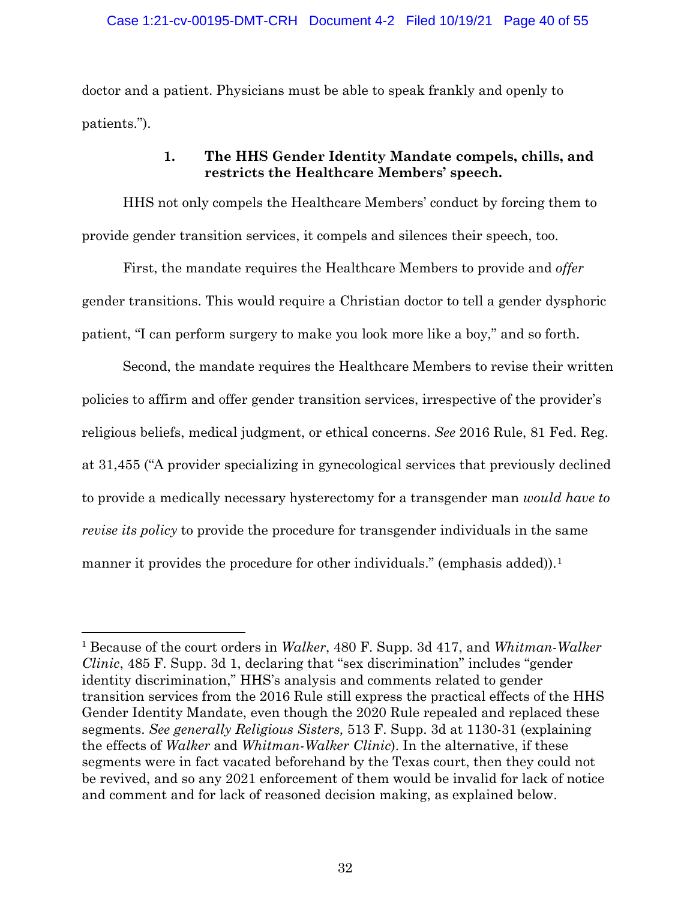doctor and a patient. Physicians must be able to speak frankly and openly to patients.").

## **1. The HHS Gender Identity Mandate compels, chills, and restricts the Healthcare Members' speech.**

HHS not only compels the Healthcare Members' conduct by forcing them to provide gender transition services, it compels and silences their speech, too.

First, the mandate requires the Healthcare Members to provide and *offer* gender transitions. This would require a Christian doctor to tell a gender dysphoric patient, "I can perform surgery to make you look more like a boy," and so forth.

Second, the mandate requires the Healthcare Members to revise their written policies to affirm and offer gender transition services, irrespective of the provider's religious beliefs, medical judgment, or ethical concerns. *See* 2016 Rule, 81 Fed. Reg. at 31,455 ("A provider specializing in gynecological services that previously declined to provide a medically necessary hysterectomy for a transgender man *would have to revise its policy* to provide the procedure for transgender individuals in the same manner it provides the procedure for other individuals." (emphasis added)).<sup>1</sup>

<sup>1</sup> Because of the court orders in *Walker*, 480 F. Supp. 3d 417, and *Whitman-Walker Clinic*, 485 F. Supp. 3d 1, declaring that "sex discrimination" includes "gender identity discrimination," HHS's analysis and comments related to gender transition services from the 2016 Rule still express the practical effects of the HHS Gender Identity Mandate, even though the 2020 Rule repealed and replaced these segments. *See generally Religious Sisters,* 513 F. Supp. 3d at 1130-31 (explaining the effects of *Walker* and *Whitman-Walker Clinic*). In the alternative, if these segments were in fact vacated beforehand by the Texas court, then they could not be revived, and so any 2021 enforcement of them would be invalid for lack of notice and comment and for lack of reasoned decision making, as explained below.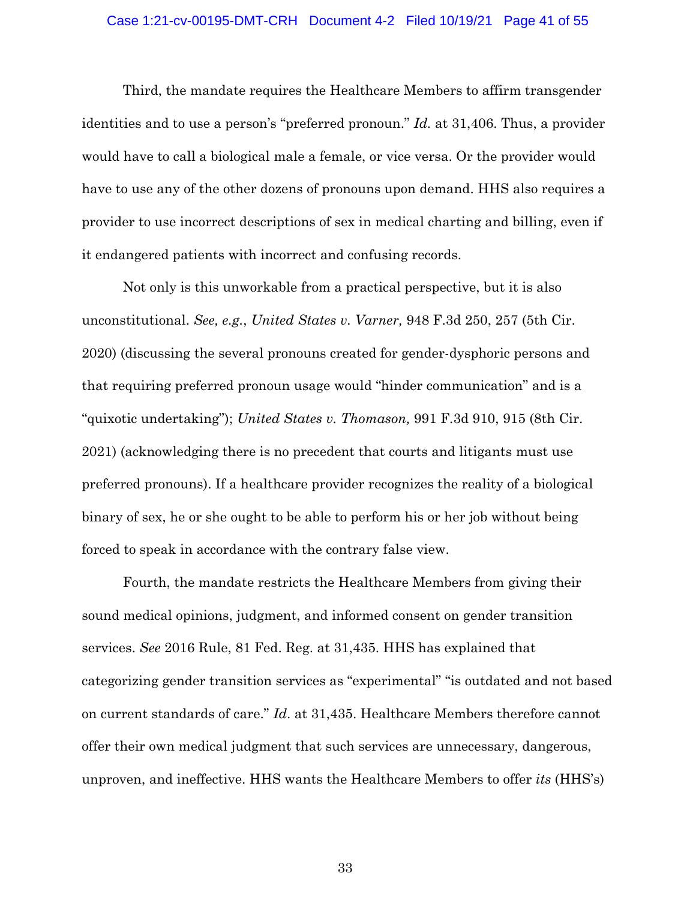### Case 1:21-cv-00195-DMT-CRH Document 4-2 Filed 10/19/21 Page 41 of 55

Third, the mandate requires the Healthcare Members to affirm transgender identities and to use a person's "preferred pronoun." *Id.* at 31,406. Thus, a provider would have to call a biological male a female, or vice versa. Or the provider would have to use any of the other dozens of pronouns upon demand. HHS also requires a provider to use incorrect descriptions of sex in medical charting and billing, even if it endangered patients with incorrect and confusing records.

Not only is this unworkable from a practical perspective, but it is also unconstitutional. *See, e.g.*, *United States v. Varner,* 948 F.3d 250, 257 (5th Cir. 2020) (discussing the several pronouns created for gender-dysphoric persons and that requiring preferred pronoun usage would "hinder communication" and is a "quixotic undertaking"); *United States v. Thomason,* 991 F.3d 910, 915 (8th Cir. 2021) (acknowledging there is no precedent that courts and litigants must use preferred pronouns). If a healthcare provider recognizes the reality of a biological binary of sex, he or she ought to be able to perform his or her job without being forced to speak in accordance with the contrary false view.

Fourth, the mandate restricts the Healthcare Members from giving their sound medical opinions, judgment, and informed consent on gender transition services. *See* 2016 Rule, 81 Fed. Reg. at 31,435. HHS has explained that categorizing gender transition services as "experimental" "is outdated and not based on current standards of care." *Id*. at 31,435. Healthcare Members therefore cannot offer their own medical judgment that such services are unnecessary, dangerous, unproven, and ineffective. HHS wants the Healthcare Members to offer *its* (HHS's)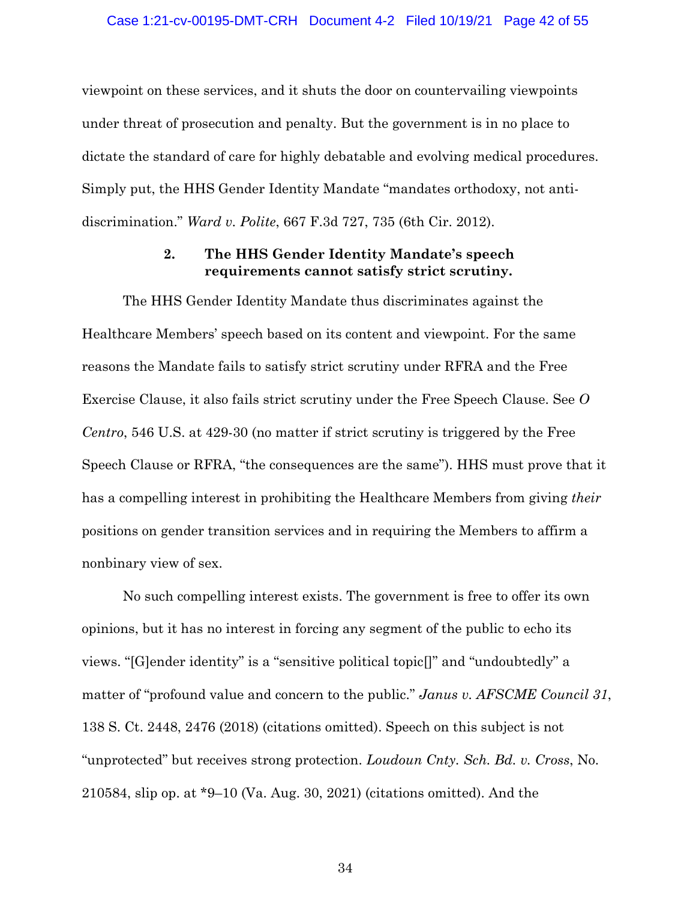viewpoint on these services, and it shuts the door on countervailing viewpoints under threat of prosecution and penalty. But the government is in no place to dictate the standard of care for highly debatable and evolving medical procedures. Simply put, the HHS Gender Identity Mandate "mandates orthodoxy, not antidiscrimination." *Ward v. Polite*, 667 F.3d 727, 735 (6th Cir. 2012).

## **2. The HHS Gender Identity Mandate's speech requirements cannot satisfy strict scrutiny.**

The HHS Gender Identity Mandate thus discriminates against the Healthcare Members' speech based on its content and viewpoint. For the same reasons the Mandate fails to satisfy strict scrutiny under RFRA and the Free Exercise Clause, it also fails strict scrutiny under the Free Speech Clause. See *O Centro*, 546 U.S. at 429-30 (no matter if strict scrutiny is triggered by the Free Speech Clause or RFRA, "the consequences are the same"). HHS must prove that it has a compelling interest in prohibiting the Healthcare Members from giving *their* positions on gender transition services and in requiring the Members to affirm a nonbinary view of sex.

No such compelling interest exists. The government is free to offer its own opinions, but it has no interest in forcing any segment of the public to echo its views. "[G]ender identity" is a "sensitive political topic[]" and "undoubtedly" a matter of "profound value and concern to the public." *Janus v. AFSCME Council 31*, 138 S. Ct. 2448, 2476 (2018) (citations omitted). Speech on this subject is not "unprotected" but receives strong protection. *Loudoun Cnty. Sch. Bd. v. Cross*, No. 210584, slip op. at \*9–10 (Va. Aug. 30, 2021) (citations omitted). And the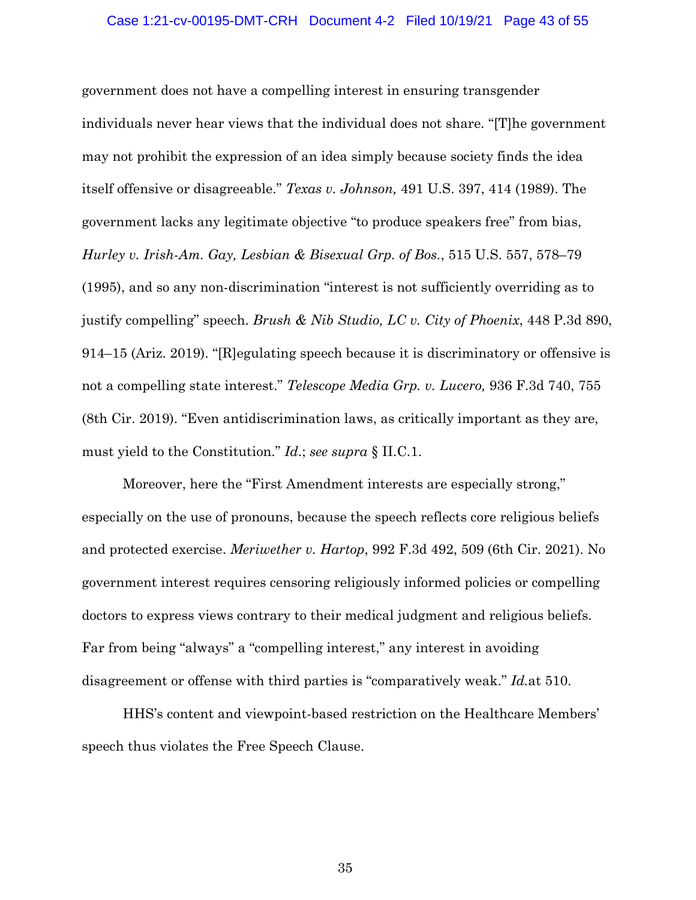### Case 1:21-cv-00195-DMT-CRH Document 4-2 Filed 10/19/21 Page 43 of 55

government does not have a compelling interest in ensuring transgender individuals never hear views that the individual does not share. "[T]he government may not prohibit the expression of an idea simply because society finds the idea itself offensive or disagreeable." *Texas v. Johnson,* 491 U.S. 397, 414 (1989). The government lacks any legitimate objective "to produce speakers free" from bias, *Hurley v. Irish-Am. Gay, Lesbian & Bisexual Grp. of Bos.*, 515 U.S. 557, 578–79 (1995), and so any non-discrimination "interest is not sufficiently overriding as to justify compelling" speech. *Brush & Nib Studio, LC v. City of Phoenix*, 448 P.3d 890, 914–15 (Ariz. 2019). "[R]egulating speech because it is discriminatory or offensive is not a compelling state interest." *Telescope Media Grp. v. Lucero,* 936 F.3d 740, 755 (8th Cir. 2019). "Even antidiscrimination laws, as critically important as they are, must yield to the Constitution." *Id*.; *see supra* § II.C.1.

Moreover, here the "First Amendment interests are especially strong," especially on the use of pronouns, because the speech reflects core religious beliefs and protected exercise. *Meriwether v. Hartop*, 992 F.3d 492, 509 (6th Cir. 2021). No government interest requires censoring religiously informed policies or compelling doctors to express views contrary to their medical judgment and religious beliefs. Far from being "always" a "compelling interest," any interest in avoiding disagreement or offense with third parties is "comparatively weak." *Id.*at 510.

HHS's content and viewpoint-based restriction on the Healthcare Members' speech thus violates the Free Speech Clause.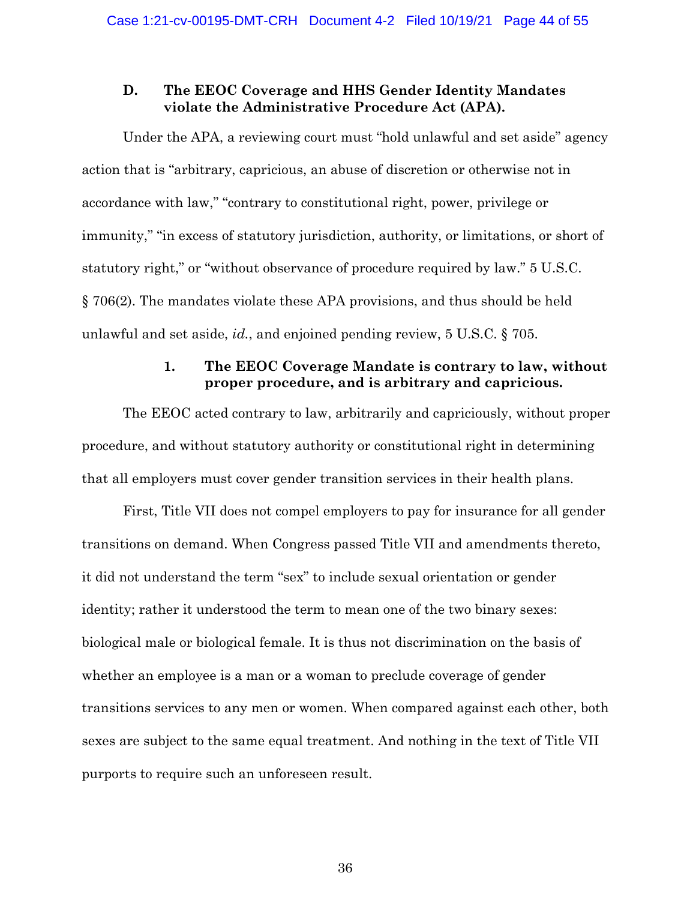## **D. The EEOC Coverage and HHS Gender Identity Mandates violate the Administrative Procedure Act (APA).**

Under the APA, a reviewing court must "hold unlawful and set aside" agency action that is "arbitrary, capricious, an abuse of discretion or otherwise not in accordance with law," "contrary to constitutional right, power, privilege or immunity," "in excess of statutory jurisdiction, authority, or limitations, or short of statutory right," or "without observance of procedure required by law." 5 U.S.C. § 706(2). The mandates violate these APA provisions, and thus should be held unlawful and set aside, *id.*, and enjoined pending review, 5 U.S.C. § 705.

## **1. The EEOC Coverage Mandate is contrary to law, without proper procedure, and is arbitrary and capricious.**

The EEOC acted contrary to law, arbitrarily and capriciously, without proper procedure, and without statutory authority or constitutional right in determining that all employers must cover gender transition services in their health plans.

First, Title VII does not compel employers to pay for insurance for all gender transitions on demand. When Congress passed Title VII and amendments thereto, it did not understand the term "sex" to include sexual orientation or gender identity; rather it understood the term to mean one of the two binary sexes: biological male or biological female. It is thus not discrimination on the basis of whether an employee is a man or a woman to preclude coverage of gender transitions services to any men or women. When compared against each other, both sexes are subject to the same equal treatment. And nothing in the text of Title VII purports to require such an unforeseen result.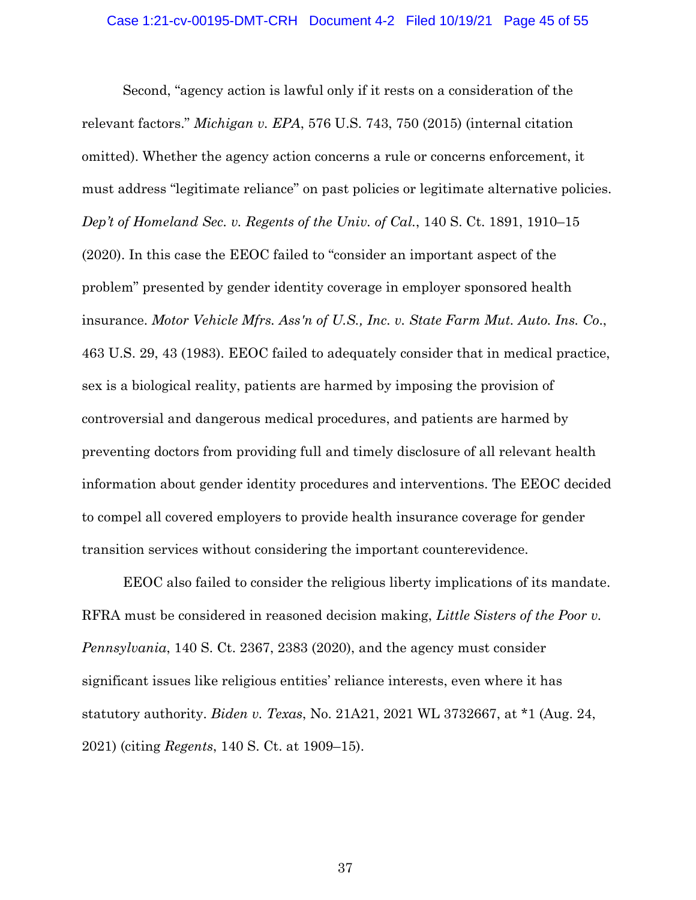Second, "agency action is lawful only if it rests on a consideration of the relevant factors." *Michigan v. EPA*, 576 U.S. 743, 750 (2015) (internal citation omitted). Whether the agency action concerns a rule or concerns enforcement, it must address "legitimate reliance" on past policies or legitimate alternative policies. *Dep't of Homeland Sec. v. Regents of the Univ. of Cal.*, 140 S. Ct. 1891, 1910–15 (2020). In this case the EEOC failed to "consider an important aspect of the problem" presented by gender identity coverage in employer sponsored health insurance. *Motor Vehicle Mfrs. Ass'n of U.S., Inc. v. State Farm Mut. Auto. Ins. Co*., 463 U.S. 29, 43 (1983). EEOC failed to adequately consider that in medical practice, sex is a biological reality, patients are harmed by imposing the provision of controversial and dangerous medical procedures, and patients are harmed by preventing doctors from providing full and timely disclosure of all relevant health information about gender identity procedures and interventions. The EEOC decided to compel all covered employers to provide health insurance coverage for gender transition services without considering the important counterevidence.

EEOC also failed to consider the religious liberty implications of its mandate. RFRA must be considered in reasoned decision making, *Little Sisters of the Poor v. Pennsylvania*, 140 S. Ct. 2367, 2383 (2020), and the agency must consider significant issues like religious entities' reliance interests, even where it has statutory authority. *Biden v. Texas*, No. 21A21, 2021 WL 3732667, at \*1 (Aug. 24, 2021) (citing *Regents*, 140 S. Ct. at 1909–15).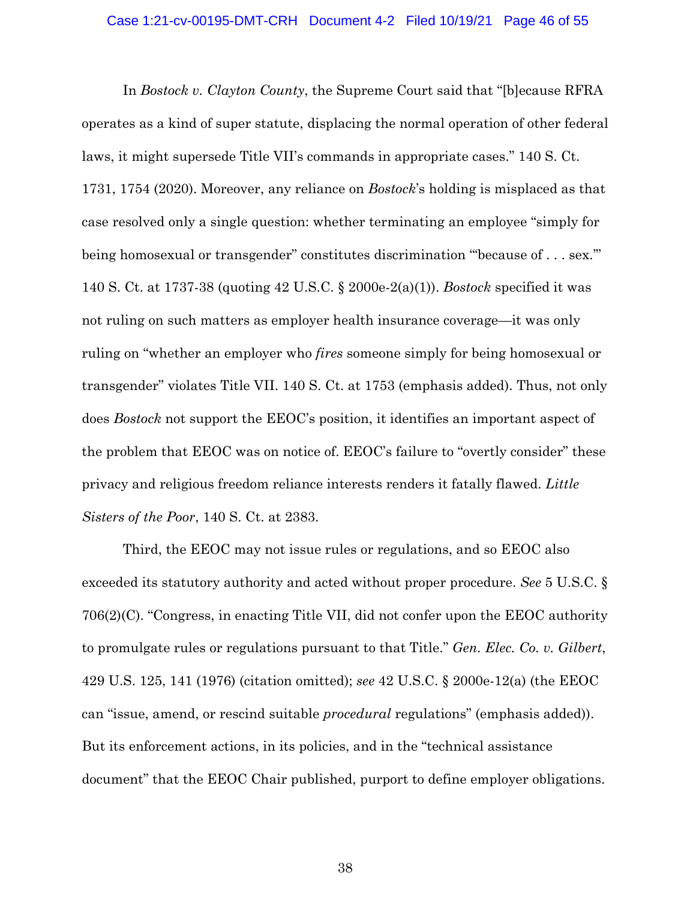### Case 1:21-cv-00195-DMT-CRH Document 4-2 Filed 10/19/21 Page 46 of 55

In *Bostock v. Clayton County*, the Supreme Court said that "[b]ecause RFRA operates as a kind of super statute, displacing the normal operation of other federal laws, it might supersede Title VII's commands in appropriate cases." 140 S. Ct. 1731, 1754 (2020). Moreover, any reliance on *Bostock*'s holding is misplaced as that case resolved only a single question: whether terminating an employee "simply for being homosexual or transgender" constitutes discrimination "because of . . . sex." 140 S. Ct. at 1737-38 (quoting 42 U.S.C. § 2000e-2(a)(1)). *Bostock* specified it was not ruling on such matters as employer health insurance coverage—it was only ruling on "whether an employer who *fires* someone simply for being homosexual or transgender" violates Title VII. 140 S. Ct. at 1753 (emphasis added). Thus, not only does *Bostock* not support the EEOC's position, it identifies an important aspect of the problem that EEOC was on notice of. EEOC's failure to "overtly consider" these privacy and religious freedom reliance interests renders it fatally flawed. *Little Sisters of the Poor*, 140 S. Ct. at 2383.

Third, the EEOC may not issue rules or regulations, and so EEOC also exceeded its statutory authority and acted without proper procedure. *See* 5 U.S.C. § 706(2)(C). "Congress, in enacting Title VII, did not confer upon the EEOC authority to promulgate rules or regulations pursuant to that Title." *Gen. Elec. Co. v. Gilbert*, 429 U.S. 125, 141 (1976) (citation omitted); *see* 42 U.S.C. § 2000e-12(a) (the EEOC can "issue, amend, or rescind suitable *procedural* regulations" (emphasis added)). But its enforcement actions, in its policies, and in the "technical assistance document" that the EEOC Chair published, purport to define employer obligations.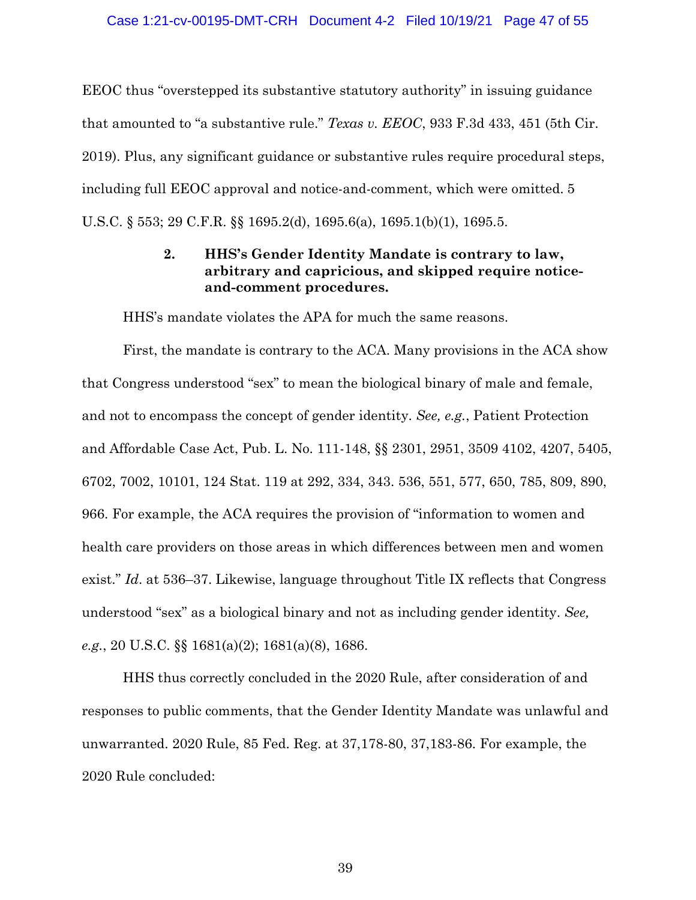EEOC thus "overstepped its substantive statutory authority" in issuing guidance that amounted to "a substantive rule." *Texas v. EEOC*, 933 F.3d 433, 451 (5th Cir. 2019). Plus, any significant guidance or substantive rules require procedural steps, including full EEOC approval and notice-and-comment, which were omitted. 5 U.S.C. § 553; 29 C.F.R. §§ 1695.2(d), 1695.6(a), 1695.1(b)(1), 1695.5.

## **2. HHS's Gender Identity Mandate is contrary to law, arbitrary and capricious, and skipped require noticeand-comment procedures.**

HHS's mandate violates the APA for much the same reasons.

First, the mandate is contrary to the ACA. Many provisions in the ACA show that Congress understood "sex" to mean the biological binary of male and female, and not to encompass the concept of gender identity. *See, e.g.*, Patient Protection and Affordable Case Act, Pub. L. No. 111-148, §§ 2301, 2951, 3509 4102, 4207, 5405, 6702, 7002, 10101, 124 Stat. 119 at 292, 334, 343. 536, 551, 577, 650, 785, 809, 890, 966. For example, the ACA requires the provision of "information to women and health care providers on those areas in which differences between men and women exist." *Id*. at 536–37. Likewise, language throughout Title IX reflects that Congress understood "sex" as a biological binary and not as including gender identity. *See, e.g.*, 20 U.S.C. §§ 1681(a)(2); 1681(a)(8), 1686.

HHS thus correctly concluded in the 2020 Rule, after consideration of and responses to public comments, that the Gender Identity Mandate was unlawful and unwarranted. 2020 Rule, 85 Fed. Reg. at 37,178-80, 37,183-86. For example, the 2020 Rule concluded: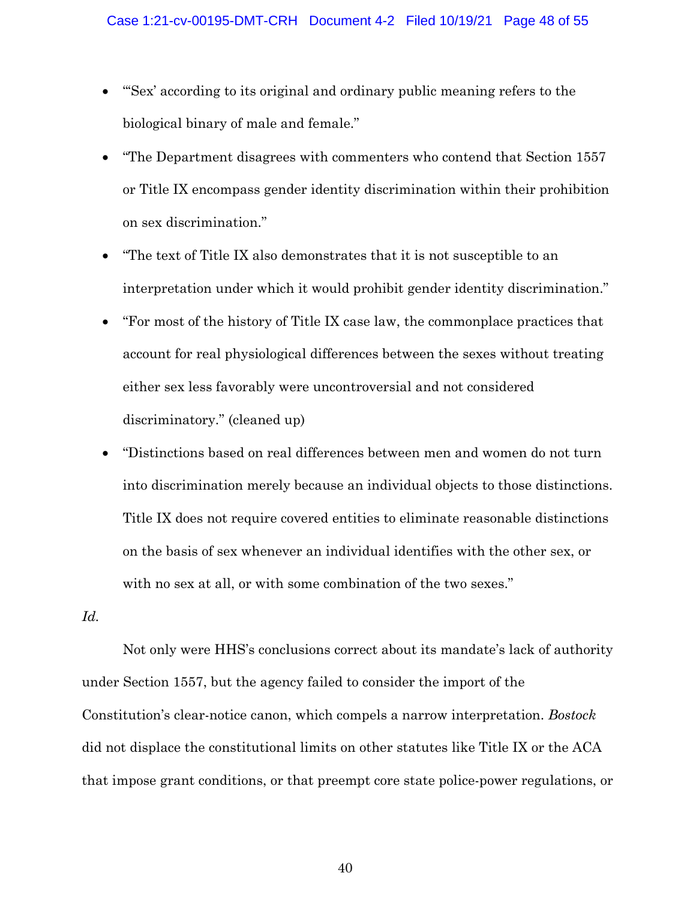- "'Sex' according to its original and ordinary public meaning refers to the biological binary of male and female."
- "The Department disagrees with commenters who contend that Section 1557 or Title IX encompass gender identity discrimination within their prohibition on sex discrimination."
- "The text of Title IX also demonstrates that it is not susceptible to an interpretation under which it would prohibit gender identity discrimination."
- "For most of the history of Title IX case law, the commonplace practices that account for real physiological differences between the sexes without treating either sex less favorably were uncontroversial and not considered discriminatory." (cleaned up)
- "Distinctions based on real differences between men and women do not turn into discrimination merely because an individual objects to those distinctions. Title IX does not require covered entities to eliminate reasonable distinctions on the basis of sex whenever an individual identifies with the other sex, or with no sex at all, or with some combination of the two sexes."

*Id.* 

Not only were HHS's conclusions correct about its mandate's lack of authority under Section 1557, but the agency failed to consider the import of the Constitution's clear-notice canon, which compels a narrow interpretation. *Bostock* did not displace the constitutional limits on other statutes like Title IX or the ACA that impose grant conditions, or that preempt core state police-power regulations, or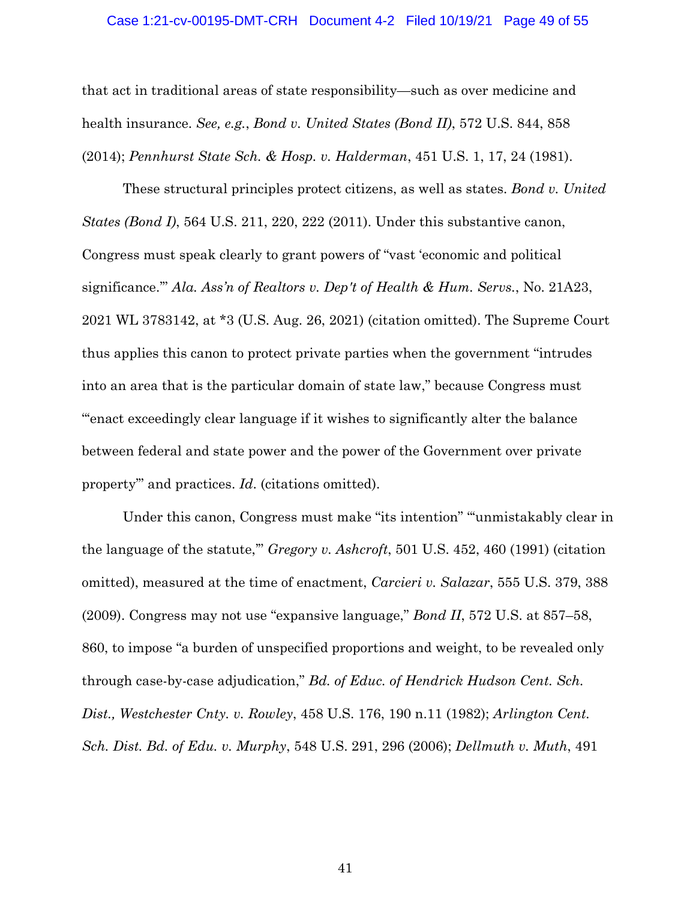#### Case 1:21-cv-00195-DMT-CRH Document 4-2 Filed 10/19/21 Page 49 of 55

that act in traditional areas of state responsibility—such as over medicine and health insurance. *See, e.g.*, *Bond v. United States (Bond II)*, 572 U.S. 844, 858 (2014); *Pennhurst State Sch. & Hosp. v. Halderman*, 451 U.S. 1, 17, 24 (1981).

These structural principles protect citizens, as well as states. *Bond v. United States (Bond I)*, 564 U.S. 211, 220, 222 (2011). Under this substantive canon, Congress must speak clearly to grant powers of "vast 'economic and political significance.'" *Ala. Ass'n of Realtors v. Dep't of Health & Hum. Servs.*, No. 21A23, 2021 WL 3783142, at \*3 (U.S. Aug. 26, 2021) (citation omitted). The Supreme Court thus applies this canon to protect private parties when the government "intrudes into an area that is the particular domain of state law," because Congress must "'enact exceedingly clear language if it wishes to significantly alter the balance between federal and state power and the power of the Government over private property'" and practices. *Id*. (citations omitted).

Under this canon, Congress must make "its intention" "'unmistakably clear in the language of the statute,'" *Gregory v. Ashcroft*, 501 U.S. 452, 460 (1991) (citation omitted), measured at the time of enactment, *Carcieri v. Salazar*, 555 U.S. 379, 388 (2009). Congress may not use "expansive language," *Bond II*, 572 U.S. at 857–58, 860, to impose "a burden of unspecified proportions and weight, to be revealed only through case-by-case adjudication," *Bd. of Educ. of Hendrick Hudson Cent. Sch. Dist., Westchester Cnty. v. Rowley*, 458 U.S. 176, 190 n.11 (1982); *Arlington Cent. Sch. Dist. Bd. of Edu. v. Murphy*, 548 U.S. 291, 296 (2006); *Dellmuth v. Muth*, 491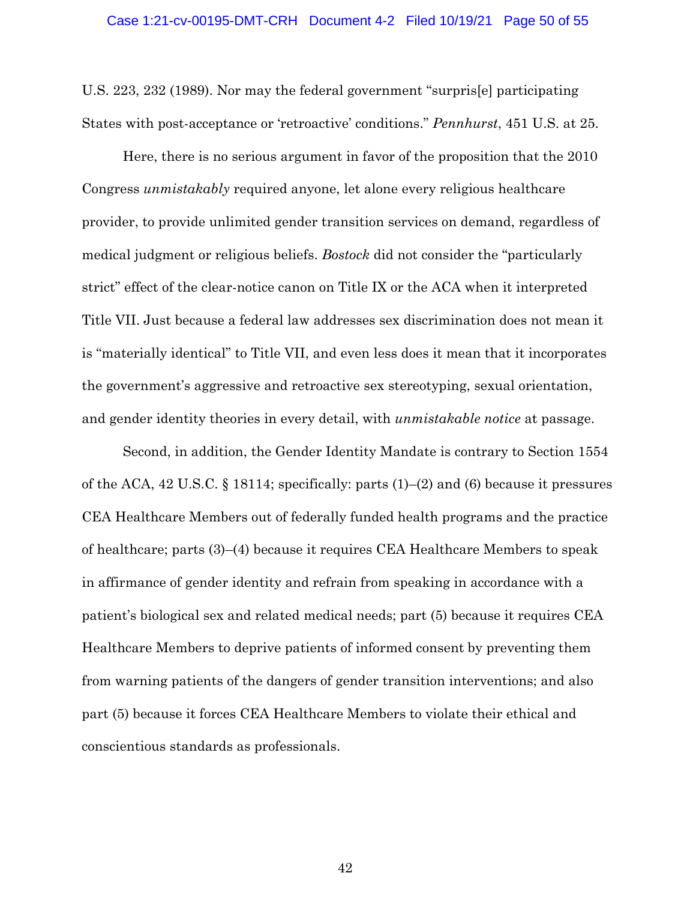U.S. 223, 232 (1989). Nor may the federal government "surpris[e] participating States with post-acceptance or 'retroactive' conditions." *Pennhurst*, 451 U.S. at 25.

Here, there is no serious argument in favor of the proposition that the 2010 Congress *unmistakably* required anyone, let alone every religious healthcare provider, to provide unlimited gender transition services on demand, regardless of medical judgment or religious beliefs. *Bostock* did not consider the "particularly strict" effect of the clear-notice canon on Title IX or the ACA when it interpreted Title VII. Just because a federal law addresses sex discrimination does not mean it is "materially identical" to Title VII, and even less does it mean that it incorporates the government's aggressive and retroactive sex stereotyping, sexual orientation, and gender identity theories in every detail, with *unmistakable notice* at passage.

Second, in addition, the Gender Identity Mandate is contrary to Section 1554 of the ACA, 42 U.S.C. § 18114; specifically: parts (1)–(2) and (6) because it pressures CEA Healthcare Members out of federally funded health programs and the practice of healthcare; parts (3)–(4) because it requires CEA Healthcare Members to speak in affirmance of gender identity and refrain from speaking in accordance with a patient's biological sex and related medical needs; part (5) because it requires CEA Healthcare Members to deprive patients of informed consent by preventing them from warning patients of the dangers of gender transition interventions; and also part (5) because it forces CEA Healthcare Members to violate their ethical and conscientious standards as professionals.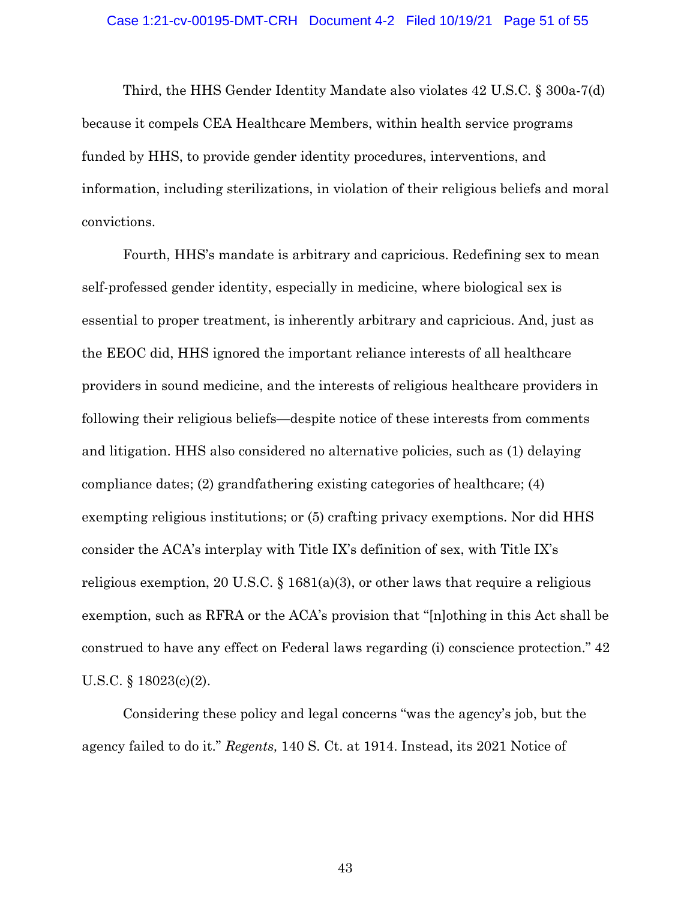### Case 1:21-cv-00195-DMT-CRH Document 4-2 Filed 10/19/21 Page 51 of 55

Third, the HHS Gender Identity Mandate also violates 42 U.S.C. § 300a-7(d) because it compels CEA Healthcare Members, within health service programs funded by HHS, to provide gender identity procedures, interventions, and information, including sterilizations, in violation of their religious beliefs and moral convictions.

Fourth, HHS's mandate is arbitrary and capricious. Redefining sex to mean self-professed gender identity, especially in medicine, where biological sex is essential to proper treatment, is inherently arbitrary and capricious. And, just as the EEOC did, HHS ignored the important reliance interests of all healthcare providers in sound medicine, and the interests of religious healthcare providers in following their religious beliefs—despite notice of these interests from comments and litigation. HHS also considered no alternative policies, such as (1) delaying compliance dates; (2) grandfathering existing categories of healthcare; (4) exempting religious institutions; or (5) crafting privacy exemptions. Nor did HHS consider the ACA's interplay with Title IX's definition of sex, with Title IX's religious exemption, 20 U.S.C. § 1681(a)(3), or other laws that require a religious exemption, such as RFRA or the ACA's provision that "[n]othing in this Act shall be construed to have any effect on Federal laws regarding (i) conscience protection." 42 U.S.C. § 18023(c)(2).

Considering these policy and legal concerns "was the agency's job, but the agency failed to do it." *Regents,* 140 S. Ct. at 1914. Instead, its 2021 Notice of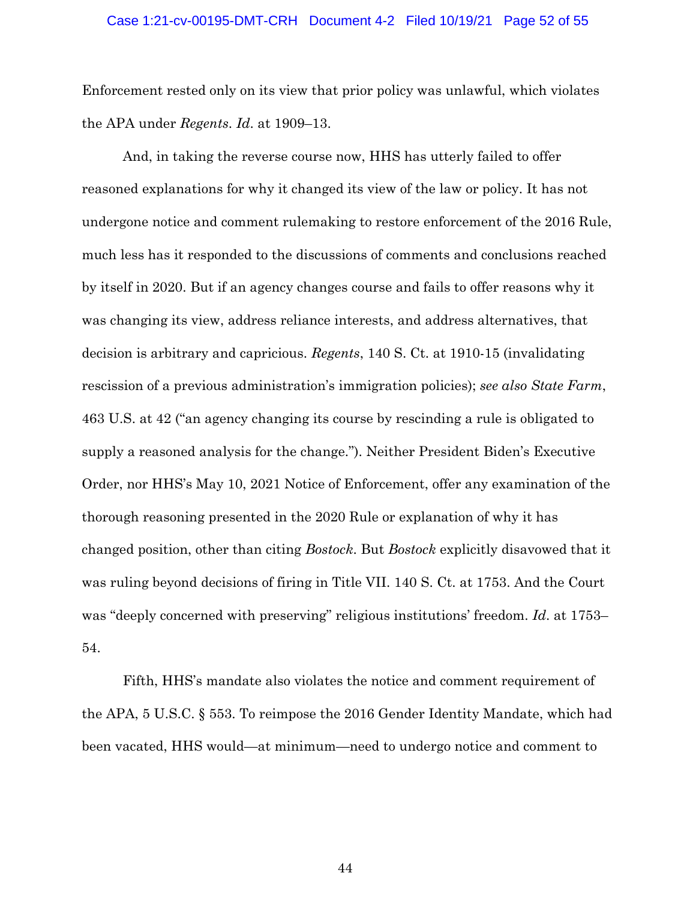### Case 1:21-cv-00195-DMT-CRH Document 4-2 Filed 10/19/21 Page 52 of 55

Enforcement rested only on its view that prior policy was unlawful, which violates the APA under *Regents*. *Id*. at 1909–13.

And, in taking the reverse course now, HHS has utterly failed to offer reasoned explanations for why it changed its view of the law or policy. It has not undergone notice and comment rulemaking to restore enforcement of the 2016 Rule, much less has it responded to the discussions of comments and conclusions reached by itself in 2020. But if an agency changes course and fails to offer reasons why it was changing its view, address reliance interests, and address alternatives, that decision is arbitrary and capricious. *Regents*, 140 S. Ct. at 1910-15 (invalidating rescission of a previous administration's immigration policies); *see also State Farm*, 463 U.S. at 42 ("an agency changing its course by rescinding a rule is obligated to supply a reasoned analysis for the change."). Neither President Biden's Executive Order, nor HHS's May 10, 2021 Notice of Enforcement, offer any examination of the thorough reasoning presented in the 2020 Rule or explanation of why it has changed position, other than citing *Bostock*. But *Bostock* explicitly disavowed that it was ruling beyond decisions of firing in Title VII. 140 S. Ct. at 1753. And the Court was "deeply concerned with preserving" religious institutions' freedom. *Id*. at 1753– 54.

Fifth, HHS's mandate also violates the notice and comment requirement of the APA, 5 U.S.C. § 553. To reimpose the 2016 Gender Identity Mandate, which had been vacated, HHS would—at minimum—need to undergo notice and comment to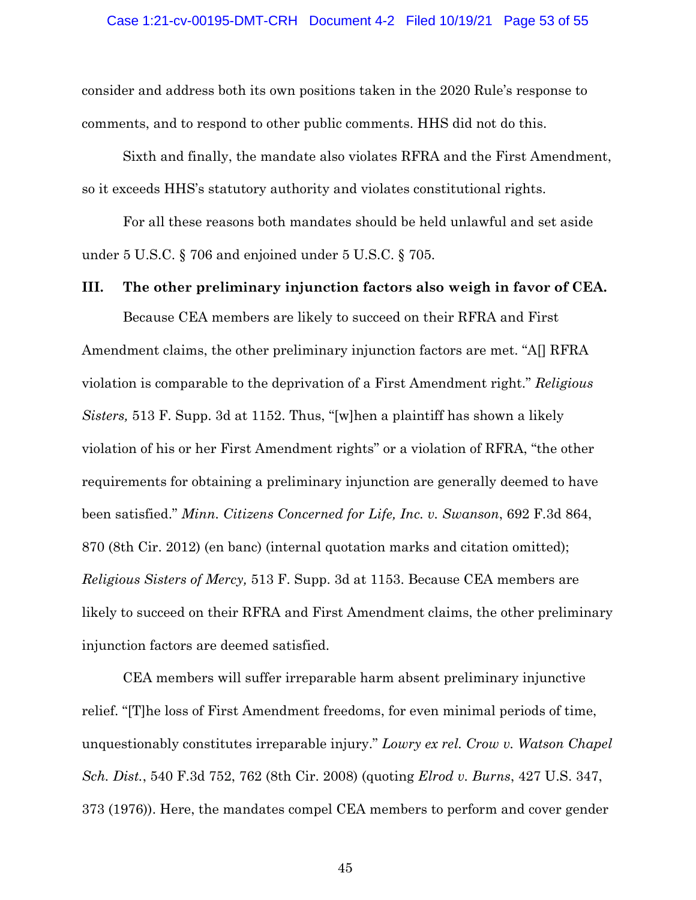consider and address both its own positions taken in the 2020 Rule's response to comments, and to respond to other public comments. HHS did not do this.

Sixth and finally, the mandate also violates RFRA and the First Amendment, so it exceeds HHS's statutory authority and violates constitutional rights.

For all these reasons both mandates should be held unlawful and set aside under 5 U.S.C. § 706 and enjoined under 5 U.S.C. § 705.

### **III. The other preliminary injunction factors also weigh in favor of CEA.**

Because CEA members are likely to succeed on their RFRA and First Amendment claims, the other preliminary injunction factors are met. "A[] RFRA violation is comparable to the deprivation of a First Amendment right." *Religious Sisters,* 513 F. Supp. 3d at 1152. Thus, "[w]hen a plaintiff has shown a likely violation of his or her First Amendment rights" or a violation of RFRA, "the other requirements for obtaining a preliminary injunction are generally deemed to have been satisfied." *Minn. Citizens Concerned for Life, Inc. v. Swanson*, 692 F.3d 864, 870 (8th Cir. 2012) (en banc) (internal quotation marks and citation omitted); *Religious Sisters of Mercy,* 513 F. Supp. 3d at 1153. Because CEA members are likely to succeed on their RFRA and First Amendment claims, the other preliminary injunction factors are deemed satisfied.

CEA members will suffer irreparable harm absent preliminary injunctive relief. "[T]he loss of First Amendment freedoms, for even minimal periods of time, unquestionably constitutes irreparable injury." *Lowry ex rel. Crow v. Watson Chapel Sch. Dist.*, 540 F.3d 752, 762 (8th Cir. 2008) (quoting *Elrod v. Burns*, 427 U.S. 347, 373 (1976)). Here, the mandates compel CEA members to perform and cover gender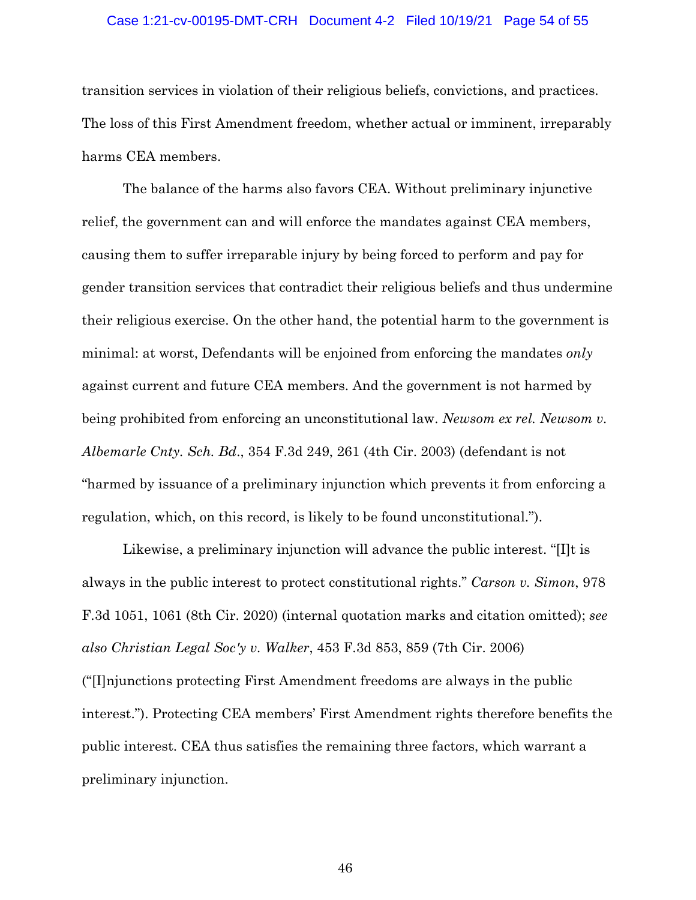#### Case 1:21-cv-00195-DMT-CRH Document 4-2 Filed 10/19/21 Page 54 of 55

transition services in violation of their religious beliefs, convictions, and practices. The loss of this First Amendment freedom, whether actual or imminent, irreparably harms CEA members.

The balance of the harms also favors CEA. Without preliminary injunctive relief, the government can and will enforce the mandates against CEA members, causing them to suffer irreparable injury by being forced to perform and pay for gender transition services that contradict their religious beliefs and thus undermine their religious exercise. On the other hand, the potential harm to the government is minimal: at worst, Defendants will be enjoined from enforcing the mandates *only*  against current and future CEA members. And the government is not harmed by being prohibited from enforcing an unconstitutional law. *Newsom ex rel. Newsom v. Albemarle Cnty. Sch. Bd*., 354 F.3d 249, 261 (4th Cir. 2003) (defendant is not "harmed by issuance of a preliminary injunction which prevents it from enforcing a regulation, which, on this record, is likely to be found unconstitutional.").

Likewise, a preliminary injunction will advance the public interest. "[I]t is always in the public interest to protect constitutional rights." *Carson v. Simon*, 978 F.3d 1051, 1061 (8th Cir. 2020) (internal quotation marks and citation omitted); *see also Christian Legal Soc'y v. Walker*, 453 F.3d 853, 859 (7th Cir. 2006) ("[I]njunctions protecting First Amendment freedoms are always in the public interest."). Protecting CEA members' First Amendment rights therefore benefits the public interest. CEA thus satisfies the remaining three factors, which warrant a preliminary injunction.